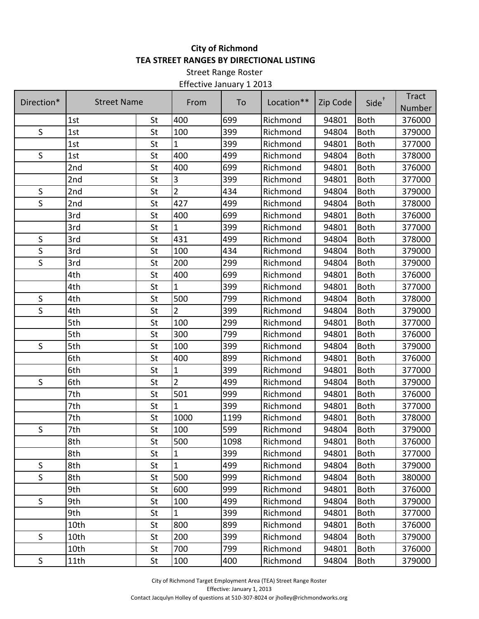## **City of Richmond TEA STREET RANGES BY DIRECTIONAL LISTING**

Street Range Roster Effective January 1 2013

| Direction*   | <b>Street Name</b> |    | From           | To   | Location** | Zip Code | Side <sup>+</sup> | <b>Tract</b><br>Number |
|--------------|--------------------|----|----------------|------|------------|----------|-------------------|------------------------|
|              | 1st                | St | 400            | 699  | Richmond   | 94801    | <b>Both</b>       | 376000                 |
| $\mathsf S$  | 1st                | St | 100            | 399  | Richmond   | 94804    | <b>Both</b>       | 379000                 |
|              | 1st                | St | $\mathbf{1}$   | 399  | Richmond   | 94801    | <b>Both</b>       | 377000                 |
| $\sf S$      | 1st                | St | 400            | 499  | Richmond   | 94804    | <b>Both</b>       | 378000                 |
|              | 2nd                | St | 400            | 699  | Richmond   | 94801    | <b>Both</b>       | 376000                 |
|              | 2nd                | St | 3              | 399  | Richmond   | 94801    | <b>Both</b>       | 377000                 |
| $\mathsf{S}$ | 2nd                | St | $\overline{2}$ | 434  | Richmond   | 94804    | <b>Both</b>       | 379000                 |
| S            | 2nd                | St | 427            | 499  | Richmond   | 94804    | <b>Both</b>       | 378000                 |
|              | 3rd                | St | 400            | 699  | Richmond   | 94801    | <b>Both</b>       | 376000                 |
|              | 3rd                | St | 1              | 399  | Richmond   | 94801    | <b>Both</b>       | 377000                 |
| S            | 3rd                | St | 431            | 499  | Richmond   | 94804    | <b>Both</b>       | 378000                 |
| $\mathsf S$  | 3rd                | St | 100            | 434  | Richmond   | 94804    | <b>Both</b>       | 379000                 |
| $\mathsf S$  | 3rd                | St | 200            | 299  | Richmond   | 94804    | <b>Both</b>       | 379000                 |
|              | 4th                | St | 400            | 699  | Richmond   | 94801    | <b>Both</b>       | 376000                 |
|              | 4th                | St | $\mathbf{1}$   | 399  | Richmond   | 94801    | <b>Both</b>       | 377000                 |
| $\mathsf S$  | 4th                | St | 500            | 799  | Richmond   | 94804    | <b>Both</b>       | 378000                 |
| $\mathsf S$  | 4th                | St | $\overline{2}$ | 399  | Richmond   | 94804    | <b>Both</b>       | 379000                 |
|              | 5th                | St | 100            | 299  | Richmond   | 94801    | <b>Both</b>       | 377000                 |
|              | 5th                | St | 300            | 799  | Richmond   | 94801    | <b>Both</b>       | 376000                 |
| S            | 5th                | St | 100            | 399  | Richmond   | 94804    | <b>Both</b>       | 379000                 |
|              | 6th                | St | 400            | 899  | Richmond   | 94801    | <b>Both</b>       | 376000                 |
|              | 6th                | St | $\mathbf{1}$   | 399  | Richmond   | 94801    | <b>Both</b>       | 377000                 |
| $\mathsf S$  | 6th                | St | $\overline{2}$ | 499  | Richmond   | 94804    | <b>Both</b>       | 379000                 |
|              | 7th                | St | 501            | 999  | Richmond   | 94801    | <b>Both</b>       | 376000                 |
|              | 7th                | St | 1              | 399  | Richmond   | 94801    | <b>Both</b>       | 377000                 |
|              | 7th                | St | 1000           | 1199 | Richmond   | 94801    | <b>Both</b>       | 378000                 |
| S            | 7th                | St | 100            | 599  | Richmond   | 94804    | <b>Both</b>       | 379000                 |
|              | 8th                | St | 500            | 1098 | Richmond   | 94801    | Both              | 376000                 |
|              | 8th                | St | $\mathbf{1}$   | 399  | Richmond   | 94801    | <b>Both</b>       | 377000                 |
| $\sf S$      | 8th                | St | $\mathbf{1}$   | 499  | Richmond   | 94804    | <b>Both</b>       | 379000                 |
| $\mathsf{S}$ | 8th                | St | 500            | 999  | Richmond   | 94804    | <b>Both</b>       | 380000                 |
|              | 9th                | St | 600            | 999  | Richmond   | 94801    | <b>Both</b>       | 376000                 |
| S            | 9th                | St | 100            | 499  | Richmond   | 94804    | <b>Both</b>       | 379000                 |
|              | 9th                | St | $\mathbf{1}$   | 399  | Richmond   | 94801    | <b>Both</b>       | 377000                 |
|              | 10th               | St | 800            | 899  | Richmond   | 94801    | <b>Both</b>       | 376000                 |
| S            | 10th               | St | 200            | 399  | Richmond   | 94804    | <b>Both</b>       | 379000                 |
|              | 10th               | St | 700            | 799  | Richmond   | 94801    | <b>Both</b>       | 376000                 |
| S            | 11th               | St | 100            | 400  | Richmond   | 94804    | <b>Both</b>       | 379000                 |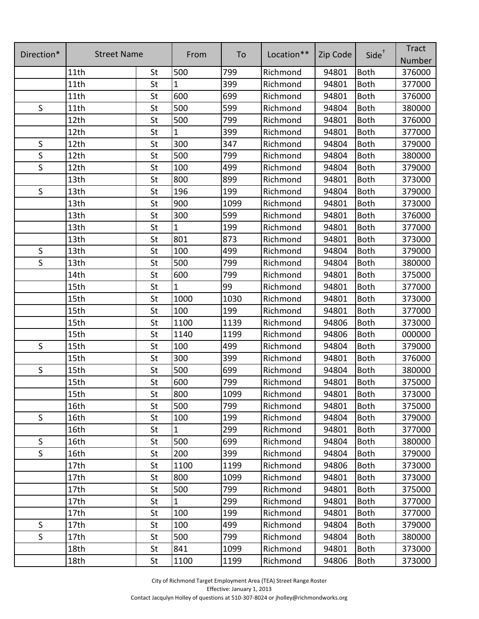| Direction*   |                    |    |              |      |            |          | Side <sup>+</sup> | <b>Tract</b> |
|--------------|--------------------|----|--------------|------|------------|----------|-------------------|--------------|
|              | <b>Street Name</b> |    | From         | To   | Location** | Zip Code |                   | Number       |
|              | 11th               | St | 500          | 799  | Richmond   | 94801    | <b>Both</b>       | 376000       |
|              | 11th               | St | $\mathbf{1}$ | 399  | Richmond   | 94801    | <b>Both</b>       | 377000       |
|              | 11th               | St | 600          | 699  | Richmond   | 94801    | <b>Both</b>       | 376000       |
| S            | 11th               | St | 500          | 599  | Richmond   | 94804    | <b>Both</b>       | 380000       |
|              | 12th               | St | 500          | 799  | Richmond   | 94801    | <b>Both</b>       | 376000       |
|              | 12th               | St | 1            | 399  | Richmond   | 94801    | <b>Both</b>       | 377000       |
| $\mathsf{S}$ | 12th               | St | 300          | 347  | Richmond   | 94804    | <b>Both</b>       | 379000       |
| S            | 12th               | St | 500          | 799  | Richmond   | 94804    | <b>Both</b>       | 380000       |
| $\mathsf{S}$ | 12th               | St | 100          | 499  | Richmond   | 94804    | <b>Both</b>       | 379000       |
|              | 13th               | St | 800          | 899  | Richmond   | 94801    | <b>Both</b>       | 373000       |
| $\mathsf S$  | 13th               | St | 196          | 199  | Richmond   | 94804    | <b>Both</b>       | 379000       |
|              | 13th               | St | 900          | 1099 | Richmond   | 94801    | <b>Both</b>       | 373000       |
|              | 13th               | St | 300          | 599  | Richmond   | 94801    | <b>Both</b>       | 376000       |
|              | 13 <sub>th</sub>   | St | $\mathbf{1}$ | 199  | Richmond   | 94801    | <b>Both</b>       | 377000       |
|              | 13th               | St | 801          | 873  | Richmond   | 94801    | <b>Both</b>       | 373000       |
| $\mathsf S$  | 13th               | St | 100          | 499  | Richmond   | 94804    | <b>Both</b>       | 379000       |
| $\mathsf S$  | 13th               | St | 500          | 799  | Richmond   | 94804    | <b>Both</b>       | 380000       |
|              | 14th               | St | 600          | 799  | Richmond   | 94801    | <b>Both</b>       | 375000       |
|              | 15th               | St | 1            | 99   | Richmond   | 94801    | <b>Both</b>       | 377000       |
|              | 15th               | St | 1000         | 1030 | Richmond   | 94801    | <b>Both</b>       | 373000       |
|              | 15th               | St | 100          | 199  | Richmond   | 94801    | <b>Both</b>       | 377000       |
|              | 15th               | St | 1100         | 1139 | Richmond   | 94806    | <b>Both</b>       | 373000       |
|              | 15th               | St | 1140         | 1199 | Richmond   | 94806    | <b>Both</b>       | 000000       |
| $\mathsf S$  | 15th               | St | 100          | 499  | Richmond   | 94804    | <b>Both</b>       | 379000       |
|              | 15th               | St | 300          | 399  | Richmond   | 94801    | <b>Both</b>       | 376000       |
| $\mathsf S$  | 15th               | St | 500          | 699  | Richmond   | 94804    | <b>Both</b>       | 380000       |
|              | 15th               | St | 600          | 799  | Richmond   | 94801    | <b>Both</b>       | 375000       |
|              | 15th               | St | 800          | 1099 | Richmond   | 94801    | Both              | 373000       |
|              | 16th               | St | 500          | 799  | Richmond   | 94801    | <b>Both</b>       | 375000       |
| S            | 16th               | St | 100          | 199  | Richmond   | 94804    | <b>Both</b>       | 379000       |
|              | 16th               | St | $\mathbf{1}$ | 299  | Richmond   | 94801    | <b>Both</b>       | 377000       |
| S            | 16th               | St | 500          | 699  | Richmond   | 94804    | <b>Both</b>       | 380000       |
| S            | 16th               | St | 200          | 399  | Richmond   | 94804    | <b>Both</b>       | 379000       |
|              | 17th               | St | 1100         | 1199 | Richmond   | 94806    | <b>Both</b>       | 373000       |
|              | 17th               | St | 800          | 1099 | Richmond   | 94801    | <b>Both</b>       | 373000       |
|              | 17 <sub>th</sub>   | St | 500          | 799  | Richmond   | 94801    | <b>Both</b>       | 375000       |
|              | 17th               | St | $\mathbf{1}$ | 299  | Richmond   | 94801    | <b>Both</b>       | 377000       |
|              | 17 <sub>th</sub>   | St | 100          | 199  | Richmond   | 94801    | <b>Both</b>       | 377000       |
| S            | 17th               | St | 100          | 499  | Richmond   | 94804    | <b>Both</b>       | 379000       |
| S            | 17th               | St | 500          | 799  | Richmond   | 94804    | <b>Both</b>       | 380000       |
|              | 18th               | St | 841          | 1099 | Richmond   | 94801    | <b>Both</b>       | 373000       |
|              | 18th               | St | 1100         | 1199 | Richmond   | 94806    | Both              | 373000       |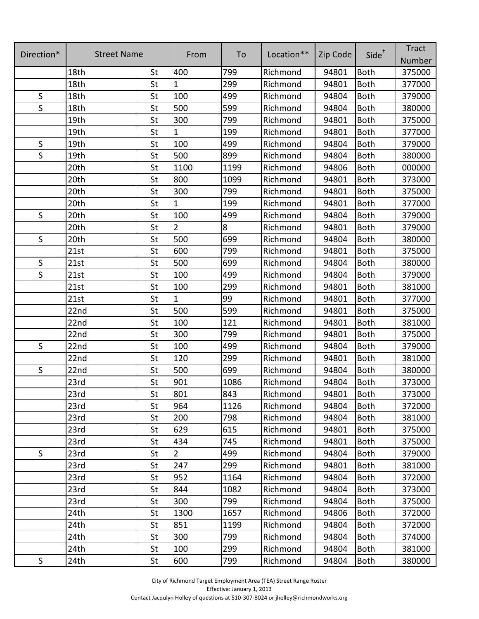| Direction*   | <b>Street Name</b> |    |                |      |            |          | Side <sup>+</sup> | <b>Tract</b> |
|--------------|--------------------|----|----------------|------|------------|----------|-------------------|--------------|
|              |                    |    | From           | To   | Location** | Zip Code |                   | Number       |
|              | 18th               | St | 400            | 799  | Richmond   | 94801    | <b>Both</b>       | 375000       |
|              | 18th               | St | $\mathbf{1}$   | 299  | Richmond   | 94801    | <b>Both</b>       | 377000       |
| $\mathsf{S}$ | 18th               | St | 100            | 499  | Richmond   | 94804    | <b>Both</b>       | 379000       |
| $\mathsf S$  | 18th               | St | 500            | 599  | Richmond   | 94804    | <b>Both</b>       | 380000       |
|              | 19th               | St | 300            | 799  | Richmond   | 94801    | <b>Both</b>       | 375000       |
|              | 19th               | St | 1              | 199  | Richmond   | 94801    | <b>Both</b>       | 377000       |
| $\mathsf S$  | 19th               | St | 100            | 499  | Richmond   | 94804    | <b>Both</b>       | 379000       |
| $\mathsf S$  | 19th               | St | 500            | 899  | Richmond   | 94804    | <b>Both</b>       | 380000       |
|              | 20th               | St | 1100           | 1199 | Richmond   | 94806    | <b>Both</b>       | 000000       |
|              | 20th               | St | 800            | 1099 | Richmond   | 94801    | <b>Both</b>       | 373000       |
|              | 20th               | St | 300            | 799  | Richmond   | 94801    | <b>Both</b>       | 375000       |
|              | 20th               | St | $\mathbf{1}$   | 199  | Richmond   | 94801    | <b>Both</b>       | 377000       |
| S            | 20th               | St | 100            | 499  | Richmond   | 94804    | <b>Both</b>       | 379000       |
|              | 20th               | St | $\overline{2}$ | 8    | Richmond   | 94801    | <b>Both</b>       | 379000       |
| S            | 20th               | St | 500            | 699  | Richmond   | 94804    | <b>Both</b>       | 380000       |
|              | 21st               | St | 600            | 799  | Richmond   | 94801    | <b>Both</b>       | 375000       |
| $\sf S$      | 21st               | St | 500            | 699  | Richmond   | 94804    | <b>Both</b>       | 380000       |
| $\mathsf S$  | 21st               | St | 100            | 499  | Richmond   | 94804    | <b>Both</b>       | 379000       |
|              | 21st               | St | 100            | 299  | Richmond   | 94801    | <b>Both</b>       | 381000       |
|              | 21st               | St | $\mathbf{1}$   | 99   | Richmond   | 94801    | <b>Both</b>       | 377000       |
|              | 22nd               | St | 500            | 599  | Richmond   | 94801    | <b>Both</b>       | 375000       |
|              | 22nd               | St | 100            | 121  | Richmond   | 94801    | <b>Both</b>       | 381000       |
|              | 22nd               | St | 300            | 799  | Richmond   | 94801    | <b>Both</b>       | 375000       |
| $\mathsf S$  | 22nd               | St | 100            | 499  | Richmond   | 94804    | <b>Both</b>       | 379000       |
|              | 22nd               | St | 120            | 299  | Richmond   | 94801    | <b>Both</b>       | 381000       |
| $\mathsf S$  | 22nd               | St | 500            | 699  | Richmond   | 94804    | <b>Both</b>       | 380000       |
|              | 23rd               | St | 901            | 1086 | Richmond   | 94804    | <b>Both</b>       | 373000       |
|              | 23rd               | St | 801            | 843  | Richmond   | 94801    | Both              | 373000       |
|              | 23rd               | St | 964            | 1126 | Richmond   | 94804    | <b>Both</b>       | 372000       |
|              | 23rd               | St | 200            | 798  | Richmond   | 94804    | <b>Both</b>       | 381000       |
|              | 23rd               | St | 629            | 615  | Richmond   | 94801    | <b>Both</b>       | 375000       |
|              | 23rd               | St | 434            | 745  | Richmond   | 94801    | <b>Both</b>       | 375000       |
| $\mathsf S$  | 23rd               | St | $\overline{2}$ | 499  | Richmond   | 94804    | <b>Both</b>       | 379000       |
|              | 23rd               | St | 247            | 299  | Richmond   | 94801    | <b>Both</b>       | 381000       |
|              | 23rd               | St | 952            | 1164 | Richmond   | 94804    | <b>Both</b>       | 372000       |
|              | 23rd               | St | 844            | 1082 | Richmond   | 94804    | <b>Both</b>       | 373000       |
|              | 23rd               | St | 300            | 799  | Richmond   | 94804    | <b>Both</b>       | 375000       |
|              | 24th               | St | 1300           | 1657 | Richmond   | 94806    | <b>Both</b>       | 372000       |
|              | 24th               | St | 851            | 1199 | Richmond   | 94804    | <b>Both</b>       | 372000       |
|              | 24th               | St | 300            | 799  | Richmond   | 94804    | <b>Both</b>       | 374000       |
|              | 24th               | St | 100            | 299  | Richmond   | 94804    | <b>Both</b>       | 381000       |
| $\sf S$      | 24th               | St | 600            | 799  | Richmond   | 94804    | Both              | 380000       |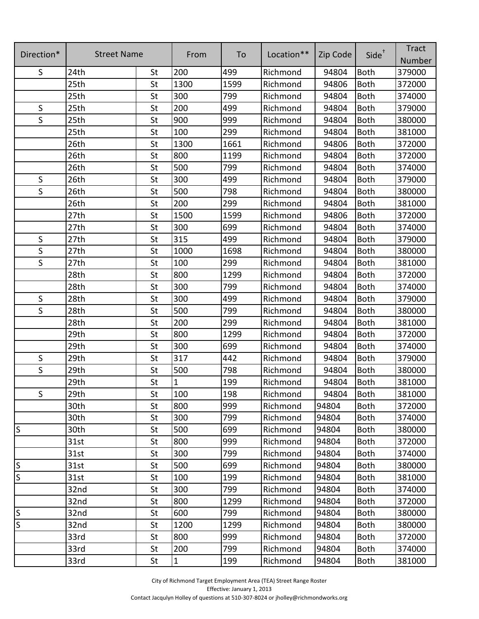| Direction*   | <b>Street Name</b> |           | From        | To   | Location** | Zip Code | Side <sup>+</sup> | <b>Tract</b> |
|--------------|--------------------|-----------|-------------|------|------------|----------|-------------------|--------------|
|              |                    |           |             |      |            |          |                   | Number       |
| S            | 24th               | St        | 200         | 499  | Richmond   | 94804    | <b>Both</b>       | 379000       |
|              | 25th               | St        | 1300        | 1599 | Richmond   | 94806    | <b>Both</b>       | 372000       |
|              | 25th               | St        | 300         | 799  | Richmond   | 94804    | <b>Both</b>       | 374000       |
| $\sf S$      | 25th               | St        | 200         | 499  | Richmond   | 94804    | <b>Both</b>       | 379000       |
| $\mathsf S$  | 25th               | St        | 900         | 999  | Richmond   | 94804    | <b>Both</b>       | 380000       |
|              | 25th               | St        | 100         | 299  | Richmond   | 94804    | <b>Both</b>       | 381000       |
|              | 26th               | St        | 1300        | 1661 | Richmond   | 94806    | <b>Both</b>       | 372000       |
|              | 26th               | St        | 800         | 1199 | Richmond   | 94804    | <b>Both</b>       | 372000       |
|              | 26th               | St        | 500         | 799  | Richmond   | 94804    | <b>Both</b>       | 374000       |
| S            | 26th               | St        | 300         | 499  | Richmond   | 94804    | <b>Both</b>       | 379000       |
| $\sf S$      | 26th               | St        | 500         | 798  | Richmond   | 94804    | <b>Both</b>       | 380000       |
|              | 26th               | St        | 200         | 299  | Richmond   | 94804    | <b>Both</b>       | 381000       |
|              | 27th               | St        | 1500        | 1599 | Richmond   | 94806    | <b>Both</b>       | 372000       |
|              | 27th               | St        | 300         | 699  | Richmond   | 94804    | <b>Both</b>       | 374000       |
| $\sf S$      | 27th               | St        | 315         | 499  | Richmond   | 94804    | <b>Both</b>       | 379000       |
| S            | 27th               | St        | 1000        | 1698 | Richmond   | 94804    | <b>Both</b>       | 380000       |
| $\mathsf S$  | 27th               | St        | 100         | 299  | Richmond   | 94804    | <b>Both</b>       | 381000       |
|              | 28th               | St        | 800         | 1299 | Richmond   | 94804    | <b>Both</b>       | 372000       |
|              | 28th               | St        | 300         | 799  | Richmond   | 94804    | <b>Both</b>       | 374000       |
| $\mathsf{S}$ | 28th               | St        | 300         | 499  | Richmond   | 94804    | <b>Both</b>       | 379000       |
| $\mathsf{S}$ | 28th               | St        | 500         | 799  | Richmond   | 94804    | <b>Both</b>       | 380000       |
|              | 28th               | St        | 200         | 299  | Richmond   | 94804    | <b>Both</b>       | 381000       |
|              | 29th               | St        | 800         | 1299 | Richmond   | 94804    | <b>Both</b>       | 372000       |
|              | 29th               | St        | 300         | 699  | Richmond   | 94804    | <b>Both</b>       | 374000       |
| S            | 29th               | St        | 317         | 442  | Richmond   | 94804    | <b>Both</b>       | 379000       |
| $\mathsf S$  | 29th               | St        | 500         | 798  | Richmond   | 94804    | <b>Both</b>       | 380000       |
|              | 29th               | St        | $\mathbf 1$ | 199  | Richmond   | 94804    | <b>Both</b>       | 381000       |
| S            | 29th               | St        | 100         | 198  | Richmond   | 94804    | Both              | 381000       |
|              | 30th               | St        | 800         | 999  | Richmond   | 94804    | <b>Both</b>       | 372000       |
|              | 30th               | St        | 300         | 799  | Richmond   | 94804    | <b>Both</b>       | 374000       |
| S            | 30th               | St        | 500         | 699  | Richmond   | 94804    | <b>Both</b>       | 380000       |
|              | 31st               | St        | 800         | 999  | Richmond   | 94804    | <b>Both</b>       | 372000       |
|              | 31st               | St        | 300         | 799  | Richmond   | 94804    | <b>Both</b>       | 374000       |
| S            | 31st               | St        | 500         | 699  | Richmond   | 94804    | <b>Both</b>       | 380000       |
| S            | 31st               | St        | 100         | 199  | Richmond   | 94804    | <b>Both</b>       | 381000       |
|              | 32nd               | St        | 300         | 799  | Richmond   | 94804    | <b>Both</b>       | 374000       |
|              | 32nd               | St        | 800         | 1299 | Richmond   | 94804    | <b>Both</b>       | 372000       |
| S            | 32nd               | St        | 600         | 799  | Richmond   | 94804    | <b>Both</b>       | 380000       |
| S            | 32nd               | <b>St</b> | 1200        | 1299 | Richmond   | 94804    | <b>Both</b>       | 380000       |
|              | 33rd               | St        | 800         | 999  | Richmond   | 94804    | <b>Both</b>       | 372000       |
|              | 33rd               | St        | 200         | 799  | Richmond   | 94804    | <b>Both</b>       | 374000       |
|              | 33rd               | St        | $\mathbf 1$ | 199  | Richmond   | 94804    | <b>Both</b>       | 381000       |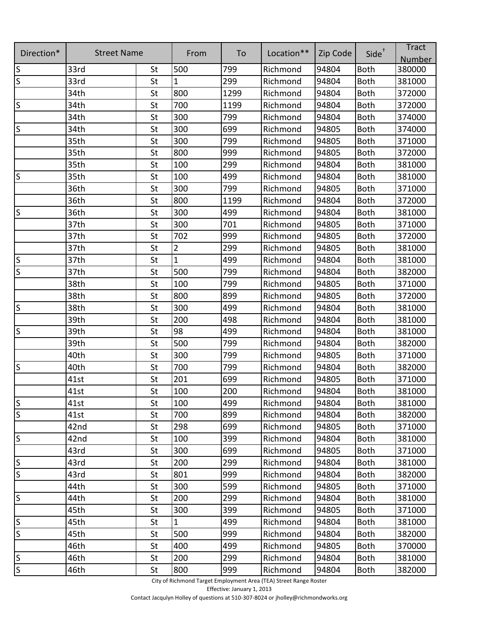| Direction*              | <b>Street Name</b> |           | From           | To   | Location** | Zip Code | $Side^{\dagger}$ | <b>Tract</b><br><b>Number</b> |
|-------------------------|--------------------|-----------|----------------|------|------------|----------|------------------|-------------------------------|
| $\vert$ S               | 33rd               | <b>St</b> | 500            | 799  | Richmond   | 94804    | <b>Both</b>      | 380000                        |
| $\overline{\mathsf{S}}$ | 33rd               | <b>St</b> | $\mathbf{1}$   | 299  | Richmond   | 94804    | <b>Both</b>      | 381000                        |
|                         | 34th               | St        | 800            | 1299 | Richmond   | 94804    | <b>Both</b>      | 372000                        |
| S                       | 34th               | St        | 700            | 1199 | Richmond   | 94804    | <b>Both</b>      | 372000                        |
|                         | 34th               | St        | 300            | 799  | Richmond   | 94804    | <b>Both</b>      | 374000                        |
| <sub>S</sub>            | 34th               | St        | 300            | 699  | Richmond   | 94805    | <b>Both</b>      | 374000                        |
|                         | 35th               | St        | 300            | 799  | Richmond   | 94805    | <b>Both</b>      | 371000                        |
|                         | 35th               | St        | 800            | 999  | Richmond   | 94805    | <b>Both</b>      | 372000                        |
|                         | 35th               | St        | 100            | 299  | Richmond   | 94804    | <b>Both</b>      | 381000                        |
| <sub>S</sub>            | 35th               | St        | 100            | 499  | Richmond   | 94804    | <b>Both</b>      | 381000                        |
|                         | 36th               | St        | 300            | 799  | Richmond   | 94805    | <b>Both</b>      | 371000                        |
|                         | 36th               | <b>St</b> | 800            | 1199 | Richmond   | 94804    | <b>Both</b>      | 372000                        |
| S                       | 36th               | St        | 300            | 499  | Richmond   | 94804    | <b>Both</b>      | 381000                        |
|                         | 37th               | St        | 300            | 701  | Richmond   | 94805    | <b>Both</b>      | 371000                        |
|                         | 37th               | St        | 702            | 999  | Richmond   | 94805    | <b>Both</b>      | 372000                        |
|                         | 37th               | St        | $\overline{2}$ | 299  | Richmond   | 94805    | <b>Both</b>      | 381000                        |
| S                       | 37th               | St        | $\mathbf 1$    | 499  | Richmond   | 94804    | <b>Both</b>      | 381000                        |
| $\overline{\mathsf{S}}$ | 37th               | St        | 500            | 799  | Richmond   | 94804    | <b>Both</b>      | 382000                        |
|                         | 38th               | St        | 100            | 799  | Richmond   | 94805    | <b>Both</b>      | 371000                        |
|                         | 38th               | St        | 800            | 899  | Richmond   | 94805    | <b>Both</b>      | 372000                        |
| $\mathsf{S}$            | 38th               | St        | 300            | 499  | Richmond   | 94804    | <b>Both</b>      | 381000                        |
|                         | 39th               | St        | 200            | 498  | Richmond   | 94804    | <b>Both</b>      | 381000                        |
| $\mathsf S$             | 39th               | St        | 98             | 499  | Richmond   | 94804    | <b>Both</b>      | 381000                        |
|                         | 39th               | St        | 500            | 799  | Richmond   | 94804    | <b>Both</b>      | 382000                        |
|                         | 40th               | St        | 300            | 799  | Richmond   | 94805    | <b>Both</b>      | 371000                        |
| S                       | 40th               | St        | 700            | 799  | Richmond   | 94804    | <b>Both</b>      | 382000                        |
|                         | 41st               | St        | 201            | 699  | Richmond   | 94805    | <b>Both</b>      | 371000                        |
|                         | 41st               | St        | 100            | 200  | Richmond   | 94804    | <b>Both</b>      | 381000                        |
| $\overline{\mathsf{S}}$ | 41st               | St        | 100            | 499  | Richmond   | 94804    | <b>Both</b>      | 381000                        |
| $\overline{\mathsf{S}}$ | 41st               | St        | 700            | 899  | Richmond   | 94804    | <b>Both</b>      | 382000                        |
|                         | 42nd               | St        | 298            | 699  | Richmond   | 94805    | <b>Both</b>      | 371000                        |
| ls.                     | 42nd               | St        | 100            | 399  | Richmond   | 94804    | <b>Both</b>      | 381000                        |
|                         | 43rd               | St        | 300            | 699  | Richmond   | 94805    | <b>Both</b>      | 371000                        |
| $\overline{\mathsf{S}}$ | 43rd               | St        | 200            | 299  | Richmond   | 94804    | <b>Both</b>      | 381000                        |
| ا م                     | 43rd               | St        | 801            | 999  | Richmond   | 94804    | <b>Both</b>      | 382000                        |
|                         | 44th               | St        | 300            | 599  | Richmond   | 94805    | <b>Both</b>      | 371000                        |
| $\vert$ S               | 44th               | St        | 200            | 299  | Richmond   | 94804    | <b>Both</b>      | 381000                        |
|                         | 45th               | St        | 300            | 399  | Richmond   | 94805    | <b>Both</b>      | 371000                        |
| S                       | 45th               | St        | $\mathbf{1}$   | 499  | Richmond   | 94804    | <b>Both</b>      | 381000                        |
| $\overline{\mathsf{S}}$ | 45th               | St        | 500            | 999  | Richmond   | 94804    | <b>Both</b>      | 382000                        |
|                         | 46th               | St        | 400            | 499  | Richmond   | 94805    | <b>Both</b>      | 370000                        |
| $\overline{\mathsf{S}}$ | 46th               | St        | 200            | 299  | Richmond   | 94804    | <b>Both</b>      | 381000                        |
| $\overline{\mathsf{S}}$ | 46th               | <b>St</b> | 800            | 999  | Richmond   | 94804    | <b>Both</b>      | 382000                        |

City of Richmond Target Employment Area (TEA) Street Range Roster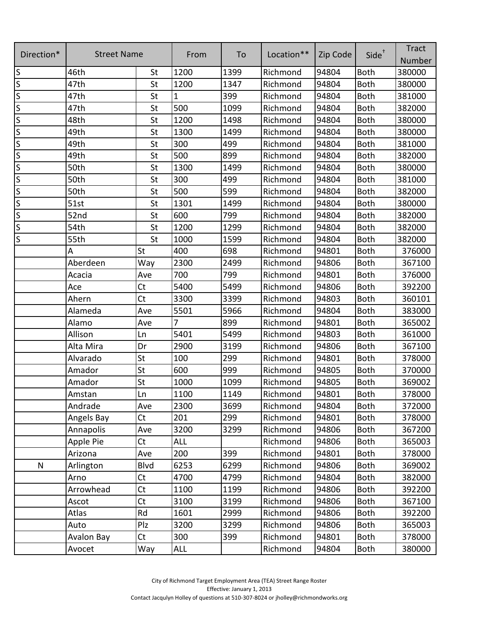| Direction*              | <b>Street Name</b> |                | From           | To   | Location** | Zip Code | Side <sup>+</sup> | <b>Tract</b><br>Number |
|-------------------------|--------------------|----------------|----------------|------|------------|----------|-------------------|------------------------|
| S                       | 46th               | St             | 1200           | 1399 | Richmond   | 94804    | <b>Both</b>       | 380000                 |
| S                       | 47th               | St             | 1200           | 1347 | Richmond   | 94804    | <b>Both</b>       | 380000                 |
| S                       | 47th               | St             | $\mathbf{1}$   | 399  | Richmond   | 94804    | <b>Both</b>       | 381000                 |
| S                       | 47th               | <b>St</b>      | 500            | 1099 | Richmond   | 94804    | <b>Both</b>       | 382000                 |
| $\overline{\mathsf{S}}$ | 48th               | St             | 1200           | 1498 | Richmond   | 94804    | <b>Both</b>       | 380000                 |
| S                       | 49th               | <b>St</b>      | 1300           | 1499 | Richmond   | 94804    | <b>Both</b>       | 380000                 |
| S                       | 49th               | <b>St</b>      | 300            | 499  | Richmond   | 94804    | <b>Both</b>       | 381000                 |
| S                       | 49th               | <b>St</b>      | 500            | 899  | Richmond   | 94804    | <b>Both</b>       | 382000                 |
| S                       | 50th               | St             | 1300           | 1499 | Richmond   | 94804    | <b>Both</b>       | 380000                 |
| S                       | 50th               | St             | 300            | 499  | Richmond   | 94804    | <b>Both</b>       | 381000                 |
| S                       | 50th               | St             | 500            | 599  | Richmond   | 94804    | <b>Both</b>       | 382000                 |
| S                       | 51st               | St             | 1301           | 1499 | Richmond   | 94804    | <b>Both</b>       | 380000                 |
| S                       | 52nd               | St             | 600            | 799  | Richmond   | 94804    | <b>Both</b>       | 382000                 |
| S                       | 54th               | St             | 1200           | 1299 | Richmond   | 94804    | <b>Both</b>       | 382000                 |
| S                       | 55th               | St             | 1000           | 1599 | Richmond   | 94804    | <b>Both</b>       | 382000                 |
|                         | А                  | St             | 400            | 698  | Richmond   | 94801    | <b>Both</b>       | 376000                 |
|                         | Aberdeen           | Way            | 2300           | 2499 | Richmond   | 94806    | <b>Both</b>       | 367100                 |
|                         | Acacia             | Ave            | 700            | 799  | Richmond   | 94801    | <b>Both</b>       | 376000                 |
|                         | Ace                | <b>Ct</b>      | 5400           | 5499 | Richmond   | 94806    | <b>Both</b>       | 392200                 |
|                         | Ahern              | Ct             | 3300           | 3399 | Richmond   | 94803    | <b>Both</b>       | 360101                 |
|                         | Alameda            | Ave            | 5501           | 5966 | Richmond   | 94804    | <b>Both</b>       | 383000                 |
|                         | Alamo              | Ave            | $\overline{7}$ | 899  | Richmond   | 94801    | <b>Both</b>       | 365002                 |
|                         | Allison            | Ln             | 5401           | 5499 | Richmond   | 94803    | <b>Both</b>       | 361000                 |
|                         | Alta Mira          | Dr             | 2900           | 3199 | Richmond   | 94806    | <b>Both</b>       | 367100                 |
|                         | Alvarado           | St             | 100            | 299  | Richmond   | 94801    | <b>Both</b>       | 378000                 |
|                         | Amador             | St             | 600            | 999  | Richmond   | 94805    | <b>Both</b>       | 370000                 |
|                         | Amador             | St             | 1000           | 1099 | Richmond   | 94805    | <b>Both</b>       | 369002                 |
|                         | Amstan             | Ln             | 1100           | 1149 | Richmond   | 94801    | Both              | 378000                 |
|                         | Andrade            | Ave            | 2300           | 3699 | Richmond   | 94804    | <b>Both</b>       | 372000                 |
|                         | Angels Bay         | Ct             | 201            | 299  | Richmond   | 94801    | <b>Both</b>       | 378000                 |
|                         | Annapolis          | Ave            | 3200           | 3299 | Richmond   | 94806    | <b>Both</b>       | 367200                 |
|                         | Apple Pie          | <b>Ct</b>      | <b>ALL</b>     |      | Richmond   | 94806    | <b>Both</b>       | 365003                 |
|                         | Arizona            | Ave            | 200            | 399  | Richmond   | 94801    | <b>Both</b>       | 378000                 |
| N                       | Arlington          | <b>Blvd</b>    | 6253           | 6299 | Richmond   | 94806    | <b>Both</b>       | 369002                 |
|                         | Arno               | Ct             | 4700           | 4799 | Richmond   | 94804    | <b>Both</b>       | 382000                 |
|                         | Arrowhead          | C <sub>t</sub> | 1100           | 1199 | Richmond   | 94806    | <b>Both</b>       | 392200                 |
|                         | Ascot              | C <sub>t</sub> | 3100           | 3199 | Richmond   | 94806    | <b>Both</b>       | 367100                 |
|                         | Atlas              | Rd             | 1601           | 2999 | Richmond   | 94806    | <b>Both</b>       | 392200                 |
|                         | Auto               | Plz            | 3200           | 3299 | Richmond   | 94806    | <b>Both</b>       | 365003                 |
|                         | <b>Avalon Bay</b>  | C <sub>t</sub> | 300            | 399  | Richmond   | 94801    | <b>Both</b>       | 378000                 |
|                         | Avocet             | Way            | <b>ALL</b>     |      | Richmond   | 94804    | <b>Both</b>       | 380000                 |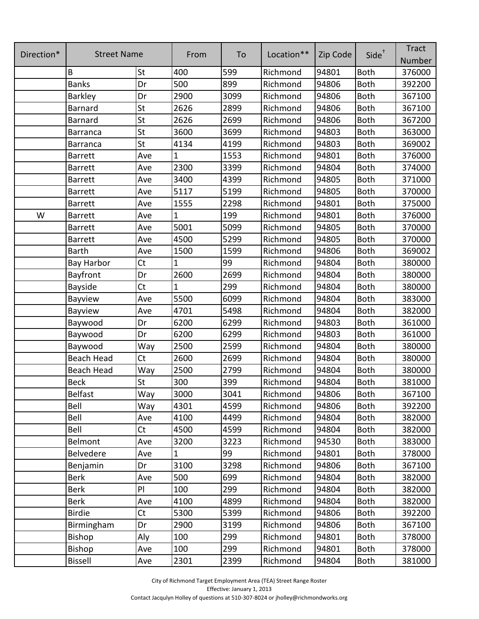|            |                    |           |              |      |            |          |                   | <b>Tract</b> |
|------------|--------------------|-----------|--------------|------|------------|----------|-------------------|--------------|
| Direction* | <b>Street Name</b> |           | From         | To   | Location** | Zip Code | Side <sup>+</sup> | Number       |
|            | B                  | St        | 400          | 599  | Richmond   | 94801    | <b>Both</b>       | 376000       |
|            | <b>Banks</b>       | Dr        | 500          | 899  | Richmond   | 94806    | <b>Both</b>       | 392200       |
|            | Barkley            | Dr        | 2900         | 3099 | Richmond   | 94806    | <b>Both</b>       | 367100       |
|            | <b>Barnard</b>     | St        | 2626         | 2899 | Richmond   | 94806    | <b>Both</b>       | 367100       |
|            | <b>Barnard</b>     | St        | 2626         | 2699 | Richmond   | 94806    | <b>Both</b>       | 367200       |
|            | <b>Barranca</b>    | St        | 3600         | 3699 | Richmond   | 94803    | <b>Both</b>       | 363000       |
|            | <b>Barranca</b>    | St        | 4134         | 4199 | Richmond   | 94803    | <b>Both</b>       | 369002       |
|            | <b>Barrett</b>     | Ave       | 1            | 1553 | Richmond   | 94801    | <b>Both</b>       | 376000       |
|            | <b>Barrett</b>     | Ave       | 2300         | 3399 | Richmond   | 94804    | <b>Both</b>       | 374000       |
|            | <b>Barrett</b>     | Ave       | 3400         | 4399 | Richmond   | 94805    | <b>Both</b>       | 371000       |
|            | <b>Barrett</b>     | Ave       | 5117         | 5199 | Richmond   | 94805    | <b>Both</b>       | 370000       |
|            | <b>Barrett</b>     | Ave       | 1555         | 2298 | Richmond   | 94801    | <b>Both</b>       | 375000       |
| W          | <b>Barrett</b>     | Ave       | 1            | 199  | Richmond   | 94801    | <b>Both</b>       | 376000       |
|            | <b>Barrett</b>     | Ave       | 5001         | 5099 | Richmond   | 94805    | <b>Both</b>       | 370000       |
|            | <b>Barrett</b>     | Ave       | 4500         | 5299 | Richmond   | 94805    | <b>Both</b>       | 370000       |
|            | <b>Barth</b>       | Ave       | 1500         | 1599 | Richmond   | 94806    | <b>Both</b>       | 369002       |
|            | <b>Bay Harbor</b>  | Ct        |              | 99   | Richmond   | 94804    | <b>Both</b>       | 380000       |
|            | Bayfront           | Dr        | 2600         | 2699 | Richmond   | 94804    | <b>Both</b>       | 380000       |
|            | Bayside            | Ct        | 1            | 299  | Richmond   | 94804    | <b>Both</b>       | 380000       |
|            | Bayview            | Ave       | 5500         | 6099 | Richmond   | 94804    | Both              | 383000       |
|            | Bayview            | Ave       | 4701         | 5498 | Richmond   | 94804    | <b>Both</b>       | 382000       |
|            | Baywood            | Dr        | 6200         | 6299 | Richmond   | 94803    | <b>Both</b>       | 361000       |
|            | Baywood            | Dr        | 6200         | 6299 | Richmond   | 94803    | <b>Both</b>       | 361000       |
|            | Baywood            | Way       | 2500         | 2599 | Richmond   | 94804    | <b>Both</b>       | 380000       |
|            | <b>Beach Head</b>  | Ct        | 2600         | 2699 | Richmond   | 94804    | <b>Both</b>       | 380000       |
|            | Beach Head         | Way       | 2500         | 2799 | Richmond   | 94804    | <b>Both</b>       | 380000       |
|            | <b>Beck</b>        | St        | 300          | 399  | Richmond   | 94804    | <b>Both</b>       | 381000       |
|            | <b>Belfast</b>     | Way       | 3000         | 3041 | Richmond   | 94806    | <b>Both</b>       | 367100       |
|            | Bell               | Way       | 4301         | 4599 | Richmond   | 94806    | <b>Both</b>       | 392200       |
|            | Bell               | Ave       | 4100         | 4499 | Richmond   | 94804    | <b>Both</b>       | 382000       |
|            | Bell               | <b>Ct</b> | 4500         | 4599 | Richmond   | 94804    | <b>Both</b>       | 382000       |
|            | Belmont            | Ave       | 3200         | 3223 | Richmond   | 94530    | <b>Both</b>       | 383000       |
|            | Belvedere          | Ave       | $\mathbf{1}$ | 99   | Richmond   | 94801    | <b>Both</b>       | 378000       |
|            | Benjamin           | Dr        | 3100         | 3298 | Richmond   | 94806    | <b>Both</b>       | 367100       |
|            | <b>Berk</b>        | Ave       | 500          | 699  | Richmond   | 94804    | <b>Both</b>       | 382000       |
|            | <b>Berk</b>        | PI        | 100          | 299  | Richmond   | 94804    | <b>Both</b>       | 382000       |
|            | <b>Berk</b>        | Ave       | 4100         | 4899 | Richmond   | 94804    | <b>Both</b>       | 382000       |
|            | <b>Birdie</b>      | <b>Ct</b> | 5300         | 5399 | Richmond   | 94806    | <b>Both</b>       | 392200       |
|            | Birmingham         | Dr        | 2900         | 3199 | Richmond   | 94806    | <b>Both</b>       | 367100       |
|            | Bishop             | Aly       | 100          | 299  | Richmond   | 94801    | <b>Both</b>       | 378000       |
|            | Bishop             | Ave       | 100          | 299  | Richmond   | 94801    | Both              | 378000       |
|            | <b>Bissell</b>     | Ave       | 2301         | 2399 | Richmond   | 94804    | Both              | 381000       |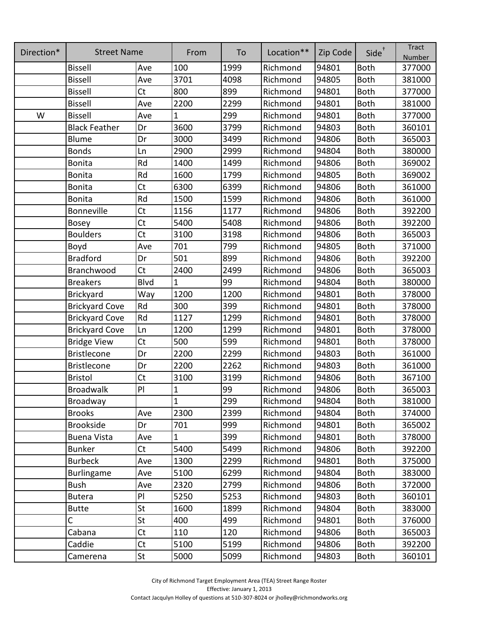| Direction* | <b>Street Name</b>    |           | From         | To   | Location** | Zip Code | Side <sup>+</sup> | <b>Tract</b><br>Number |
|------------|-----------------------|-----------|--------------|------|------------|----------|-------------------|------------------------|
|            | <b>Bissell</b>        | Ave       | 100          | 1999 | Richmond   | 94801    | <b>Both</b>       | 377000                 |
|            | <b>Bissell</b>        | Ave       | 3701         | 4098 | Richmond   | 94805    | <b>Both</b>       | 381000                 |
|            | <b>Bissell</b>        | Ct        | 800          | 899  | Richmond   | 94801    | <b>Both</b>       | 377000                 |
|            | <b>Bissell</b>        | Ave       | 2200         | 2299 | Richmond   | 94801    | <b>Both</b>       | 381000                 |
| W          | <b>Bissell</b>        | Ave       | $\mathbf{1}$ | 299  | Richmond   | 94801    | <b>Both</b>       | 377000                 |
|            | <b>Black Feather</b>  | Dr        | 3600         | 3799 | Richmond   | 94803    | <b>Both</b>       | 360101                 |
|            | <b>Blume</b>          | Dr        | 3000         | 3499 | Richmond   | 94806    | <b>Both</b>       | 365003                 |
|            | <b>Bonds</b>          | Ln        | 2900         | 2999 | Richmond   | 94804    | <b>Both</b>       | 380000                 |
|            | <b>Bonita</b>         | Rd        | 1400         | 1499 | Richmond   | 94806    | <b>Both</b>       | 369002                 |
|            | <b>Bonita</b>         | Rd        | 1600         | 1799 | Richmond   | 94805    | <b>Both</b>       | 369002                 |
|            | <b>Bonita</b>         | <b>Ct</b> | 6300         | 6399 | Richmond   | 94806    | <b>Both</b>       | 361000                 |
|            | <b>Bonita</b>         | Rd        | 1500         | 1599 | Richmond   | 94806    | <b>Both</b>       | 361000                 |
|            | Bonneville            | <b>Ct</b> | 1156         | 1177 | Richmond   | 94806    | <b>Both</b>       | 392200                 |
|            | <b>Bosey</b>          | Ct        | 5400         | 5408 | Richmond   | 94806    | <b>Both</b>       | 392200                 |
|            | <b>Boulders</b>       | Ct        | 3100         | 3198 | Richmond   | 94806    | <b>Both</b>       | 365003                 |
|            | Boyd                  | Ave       | 701          | 799  | Richmond   | 94805    | <b>Both</b>       | 371000                 |
|            | <b>Bradford</b>       | Dr        | 501          | 899  | Richmond   | 94806    | <b>Both</b>       | 392200                 |
|            | Branchwood            | Ct        | 2400         | 2499 | Richmond   | 94806    | <b>Both</b>       | 365003                 |
|            | <b>Breakers</b>       | Blvd      | $\mathbf{1}$ | 99   | Richmond   | 94804    | <b>Both</b>       | 380000                 |
|            | Brickyard             | Way       | 1200         | 1200 | Richmond   | 94801    | <b>Both</b>       | 378000                 |
|            | <b>Brickyard Cove</b> | Rd        | 300          | 399  | Richmond   | 94801    | <b>Both</b>       | 378000                 |
|            | <b>Brickyard Cove</b> | Rd        | 1127         | 1299 | Richmond   | 94801    | <b>Both</b>       | 378000                 |
|            | <b>Brickyard Cove</b> | Ln        | 1200         | 1299 | Richmond   | 94801    | <b>Both</b>       | 378000                 |
|            | <b>Bridge View</b>    | Ct        | 500          | 599  | Richmond   | 94801    | <b>Both</b>       | 378000                 |
|            | <b>Bristlecone</b>    | Dr        | 2200         | 2299 | Richmond   | 94803    | <b>Both</b>       | 361000                 |
|            | <b>Bristlecone</b>    | Dr        | 2200         | 2262 | Richmond   | 94803    | <b>Both</b>       | 361000                 |
|            | <b>Bristol</b>        | <b>Ct</b> | 3100         | 3199 | Richmond   | 94806    | <b>Both</b>       | 367100                 |
|            | <b>Broadwalk</b>      | PI        | $\mathbf{1}$ | 99   | Richmond   | 94806    | <b>Both</b>       | 365003                 |
|            | Broadway              |           | $\mathbf{1}$ | 299  | Richmond   | 94804    | <b>Both</b>       | 381000                 |
|            | <b>Brooks</b>         | Ave       | 2300         | 2399 | Richmond   | 94804    | <b>Both</b>       | 374000                 |
|            | <b>Brookside</b>      | Dr        | 701          | 999  | Richmond   | 94801    | <b>Both</b>       | 365002                 |
|            | <b>Buena Vista</b>    | Ave       | $\mathbf{1}$ | 399  | Richmond   | 94801    | <b>Both</b>       | 378000                 |
|            | <b>Bunker</b>         | Ct        | 5400         | 5499 | Richmond   | 94806    | <b>Both</b>       | 392200                 |
|            | <b>Burbeck</b>        | Ave       | 1300         | 2299 | Richmond   | 94801    | <b>Both</b>       | 375000                 |
|            | Burlingame            | Ave       | 5100         | 6299 | Richmond   | 94804    | <b>Both</b>       | 383000                 |
|            | <b>Bush</b>           | Ave       | 2320         | 2799 | Richmond   | 94806    | <b>Both</b>       | 372000                 |
|            | <b>Butera</b>         | PI        | 5250         | 5253 | Richmond   | 94803    | <b>Both</b>       | 360101                 |
|            | <b>Butte</b>          | St        | 1600         | 1899 | Richmond   | 94804    | <b>Both</b>       | 383000                 |
|            | С                     | St        | 400          | 499  | Richmond   | 94801    | <b>Both</b>       | 376000                 |
|            | Cabana                | <b>Ct</b> | 110          | 120  | Richmond   | 94806    | <b>Both</b>       | 365003                 |
|            | Caddie                | Ct        | 5100         | 5199 | Richmond   | 94806    | <b>Both</b>       | 392200                 |
|            | Camerena              | St        | 5000         | 5099 | Richmond   | 94803    | <b>Both</b>       | 360101                 |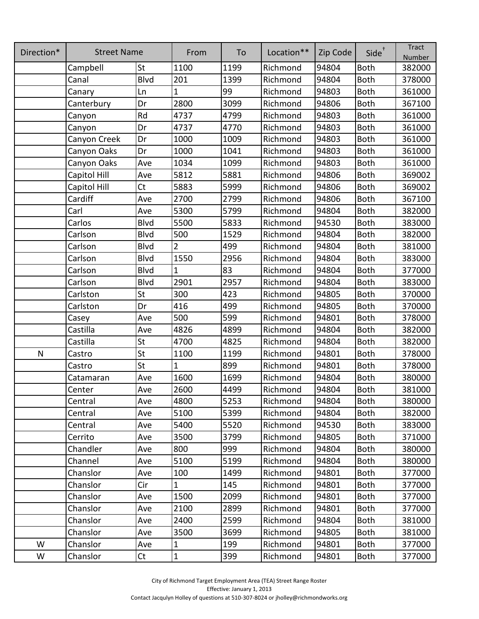| Direction*   | <b>Street Name</b> |             | From           | To   | Location** | Zip Code | $Side^{\dagger}$ | <b>Tract</b><br>Number |
|--------------|--------------------|-------------|----------------|------|------------|----------|------------------|------------------------|
|              | Campbell           | St          | 1100           | 1199 | Richmond   | 94804    | <b>Both</b>      | 382000                 |
|              | Canal              | <b>Blvd</b> | 201            | 1399 | Richmond   | 94804    | <b>Both</b>      | 378000                 |
|              | Canary             | Ln          | $\mathbf{1}$   | 99   | Richmond   | 94803    | <b>Both</b>      | 361000                 |
|              | Canterbury         | Dr          | 2800           | 3099 | Richmond   | 94806    | <b>Both</b>      | 367100                 |
|              | Canyon             | Rd          | 4737           | 4799 | Richmond   | 94803    | <b>Both</b>      | 361000                 |
|              | Canyon             | Dr          | 4737           | 4770 | Richmond   | 94803    | <b>Both</b>      | 361000                 |
|              | Canyon Creek       | Dr          | 1000           | 1009 | Richmond   | 94803    | <b>Both</b>      | 361000                 |
|              | Canyon Oaks        | Dr          | 1000           | 1041 | Richmond   | 94803    | <b>Both</b>      | 361000                 |
|              | Canyon Oaks        | Ave         | 1034           | 1099 | Richmond   | 94803    | <b>Both</b>      | 361000                 |
|              | Capitol Hill       | Ave         | 5812           | 5881 | Richmond   | 94806    | <b>Both</b>      | 369002                 |
|              | Capitol Hill       | <b>Ct</b>   | 5883           | 5999 | Richmond   | 94806    | <b>Both</b>      | 369002                 |
|              | Cardiff            | Ave         | 2700           | 2799 | Richmond   | 94806    | <b>Both</b>      | 367100                 |
|              | Carl               | Ave         | 5300           | 5799 | Richmond   | 94804    | <b>Both</b>      | 382000                 |
|              | Carlos             | <b>Blvd</b> | 5500           | 5833 | Richmond   | 94530    | <b>Both</b>      | 383000                 |
|              | Carlson            | Blvd        | 500            | 1529 | Richmond   | 94804    | <b>Both</b>      | 382000                 |
|              | Carlson            | <b>Blvd</b> | $\overline{2}$ | 499  | Richmond   | 94804    | <b>Both</b>      | 381000                 |
|              | Carlson            | Blvd        | 1550           | 2956 | Richmond   | 94804    | <b>Both</b>      | 383000                 |
|              | Carlson            | <b>Blvd</b> | $\mathbf{1}$   | 83   | Richmond   | 94804    | <b>Both</b>      | 377000                 |
|              | Carlson            | Blvd        | 2901           | 2957 | Richmond   | 94804    | <b>Both</b>      | 383000                 |
|              | Carlston           | St          | 300            | 423  | Richmond   | 94805    | <b>Both</b>      | 370000                 |
|              | Carlston           | Dr          | 416            | 499  | Richmond   | 94805    | <b>Both</b>      | 370000                 |
|              | Casey              | Ave         | 500            | 599  | Richmond   | 94801    | <b>Both</b>      | 378000                 |
|              | Castilla           | Ave         | 4826           | 4899 | Richmond   | 94804    | <b>Both</b>      | 382000                 |
|              | Castilla           | St          | 4700           | 4825 | Richmond   | 94804    | <b>Both</b>      | 382000                 |
| $\mathsf{N}$ | Castro             | St          | 1100           | 1199 | Richmond   | 94801    | <b>Both</b>      | 378000                 |
|              | Castro             | St          | 1              | 899  | Richmond   | 94801    | <b>Both</b>      | 378000                 |
|              | Catamaran          | Ave         | 1600           | 1699 | Richmond   | 94804    | <b>Both</b>      | 380000                 |
|              | Center             | Ave         | 2600           | 4499 | Richmond   | 94804    | <b>Both</b>      | 381000                 |
|              | Central            | Ave         | 4800           | 5253 | Richmond   | 94804    | <b>Both</b>      | 380000                 |
|              | Central            | Ave         | 5100           | 5399 | Richmond   | 94804    | <b>Both</b>      | 382000                 |
|              | Central            | Ave         | 5400           | 5520 | Richmond   | 94530    | <b>Both</b>      | 383000                 |
|              | Cerrito            | Ave         | 3500           | 3799 | Richmond   | 94805    | <b>Both</b>      | 371000                 |
|              | Chandler           | Ave         | 800            | 999  | Richmond   | 94804    | <b>Both</b>      | 380000                 |
|              | Channel            | Ave         | 5100           | 5199 | Richmond   | 94804    | <b>Both</b>      | 380000                 |
|              | Chanslor           | Ave         | 100            | 1499 | Richmond   | 94801    | <b>Both</b>      | 377000                 |
|              | Chanslor           | Cir         | $\mathbf{1}$   | 145  | Richmond   | 94801    | <b>Both</b>      | 377000                 |
|              | Chanslor           | Ave         | 1500           | 2099 | Richmond   | 94801    | <b>Both</b>      | 377000                 |
|              | Chanslor           | Ave         | 2100           | 2899 | Richmond   | 94801    | <b>Both</b>      | 377000                 |
|              | Chanslor           | Ave         | 2400           | 2599 | Richmond   | 94804    | <b>Both</b>      | 381000                 |
|              | Chanslor           | Ave         | 3500           | 3699 | Richmond   | 94805    | <b>Both</b>      | 381000                 |
| W            | Chanslor           | Ave         | $\mathbf{1}$   | 199  | Richmond   | 94801    | <b>Both</b>      | 377000                 |
| W            | Chanslor           | Ct          | $\mathbf{1}$   | 399  | Richmond   | 94801    | Both             | 377000                 |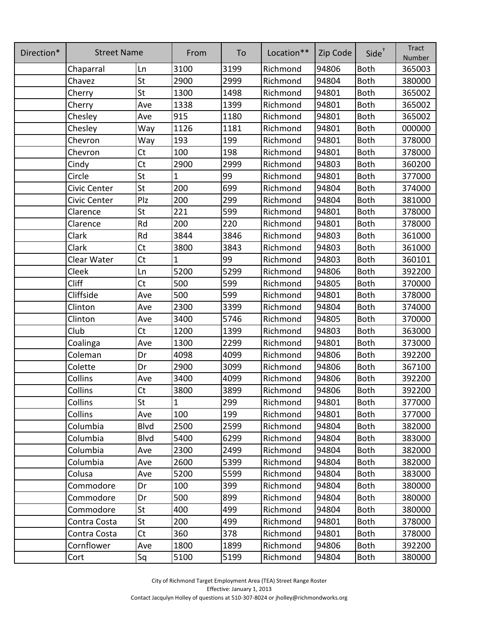| Direction* | <b>Street Name</b> |             | From         | To   | Location** | Zip Code | Side <sup>+</sup> | <b>Tract</b><br>Number |
|------------|--------------------|-------------|--------------|------|------------|----------|-------------------|------------------------|
|            | Chaparral          | Ln          | 3100         | 3199 | Richmond   | 94806    | <b>Both</b>       | 365003                 |
|            | Chavez             | St          | 2900         | 2999 | Richmond   | 94804    | <b>Both</b>       | 380000                 |
|            | Cherry             | St          | 1300         | 1498 | Richmond   | 94801    | <b>Both</b>       | 365002                 |
|            | Cherry             | Ave         | 1338         | 1399 | Richmond   | 94801    | <b>Both</b>       | 365002                 |
|            | Chesley            | Ave         | 915          | 1180 | Richmond   | 94801    | <b>Both</b>       | 365002                 |
|            | Chesley            | Way         | 1126         | 1181 | Richmond   | 94801    | <b>Both</b>       | 000000                 |
|            | Chevron            | Way         | 193          | 199  | Richmond   | 94801    | <b>Both</b>       | 378000                 |
|            | Chevron            | <b>Ct</b>   | 100          | 198  | Richmond   | 94801    | <b>Both</b>       | 378000                 |
|            | Cindy              | <b>Ct</b>   | 2900         | 2999 | Richmond   | 94803    | <b>Both</b>       | 360200                 |
|            | Circle             | St          | $\mathbf{1}$ | 99   | Richmond   | 94801    | <b>Both</b>       | 377000                 |
|            | Civic Center       | St          | 200          | 699  | Richmond   | 94804    | <b>Both</b>       | 374000                 |
|            | Civic Center       | Plz         | 200          | 299  | Richmond   | 94804    | <b>Both</b>       | 381000                 |
|            | Clarence           | St          | 221          | 599  | Richmond   | 94801    | <b>Both</b>       | 378000                 |
|            | Clarence           | Rd          | 200          | 220  | Richmond   | 94801    | <b>Both</b>       | 378000                 |
|            | Clark              | Rd          | 3844         | 3846 | Richmond   | 94803    | <b>Both</b>       | 361000                 |
|            | Clark              | <b>Ct</b>   | 3800         | 3843 | Richmond   | 94803    | <b>Both</b>       | 361000                 |
|            | Clear Water        | Ct          | $\mathbf{1}$ | 99   | Richmond   | 94803    | <b>Both</b>       | 360101                 |
|            | Cleek              | Ln          | 5200         | 5299 | Richmond   | 94806    | <b>Both</b>       | 392200                 |
|            | Cliff              | Ct          | 500          | 599  | Richmond   | 94805    | <b>Both</b>       | 370000                 |
|            | Cliffside          | Ave         | 500          | 599  | Richmond   | 94801    | <b>Both</b>       | 378000                 |
|            | Clinton            | Ave         | 2300         | 3399 | Richmond   | 94804    | <b>Both</b>       | 374000                 |
|            | Clinton            | Ave         | 3400         | 5746 | Richmond   | 94805    | <b>Both</b>       | 370000                 |
|            | Club               | Ct          | 1200         | 1399 | Richmond   | 94803    | <b>Both</b>       | 363000                 |
|            | Coalinga           | Ave         | 1300         | 2299 | Richmond   | 94801    | <b>Both</b>       | 373000                 |
|            | Coleman            | Dr          | 4098         | 4099 | Richmond   | 94806    | <b>Both</b>       | 392200                 |
|            | Colette            | Dr          | 2900         | 3099 | Richmond   | 94806    | <b>Both</b>       | 367100                 |
|            | Collins            | Ave         | 3400         | 4099 | Richmond   | 94806    | <b>Both</b>       | 392200                 |
|            | Collins            | Ct          | 3800         | 3899 | Richmond   | 94806    | Both              | 392200                 |
|            | Collins            | St          | $\mathbf{1}$ | 299  | Richmond   | 94801    | <b>Both</b>       | 377000                 |
|            | Collins            | Ave         | 100          | 199  | Richmond   | 94801    | <b>Both</b>       | 377000                 |
|            | Columbia           | <b>Blvd</b> | 2500         | 2599 | Richmond   | 94804    | <b>Both</b>       | 382000                 |
|            | Columbia           | <b>Blvd</b> | 5400         | 6299 | Richmond   | 94804    | <b>Both</b>       | 383000                 |
|            | Columbia           | Ave         | 2300         | 2499 | Richmond   | 94804    | <b>Both</b>       | 382000                 |
|            | Columbia           | Ave         | 2600         | 5399 | Richmond   | 94804    | <b>Both</b>       | 382000                 |
|            | Colusa             | Ave         | 5200         | 5599 | Richmond   | 94804    | <b>Both</b>       | 383000                 |
|            | Commodore          | Dr          | 100          | 399  | Richmond   | 94804    | <b>Both</b>       | 380000                 |
|            | Commodore          | Dr          | 500          | 899  | Richmond   | 94804    | <b>Both</b>       | 380000                 |
|            | Commodore          | St          | 400          | 499  | Richmond   | 94804    | <b>Both</b>       | 380000                 |
|            | Contra Costa       | St          | 200          | 499  | Richmond   | 94801    | <b>Both</b>       | 378000                 |
|            | Contra Costa       | <b>Ct</b>   | 360          | 378  | Richmond   | 94801    | <b>Both</b>       | 378000                 |
|            | Cornflower         | Ave         | 1800         | 1899 | Richmond   | 94806    | <b>Both</b>       | 392200                 |
|            | Cort               | Sq          | 5100         | 5199 | Richmond   | 94804    | <b>Both</b>       | 380000                 |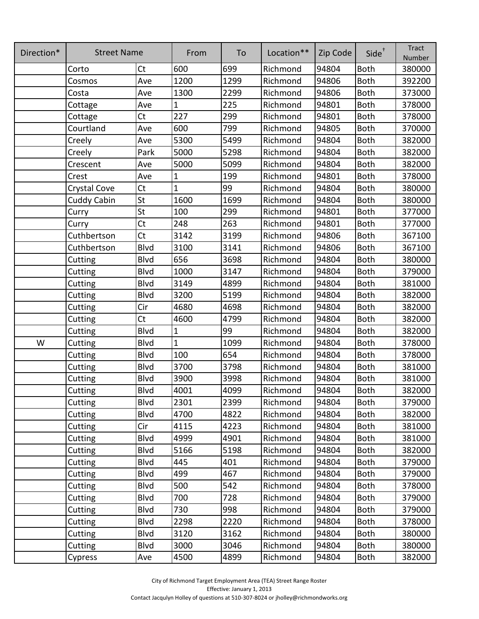| Direction* | <b>Street Name</b> |             | From         | To   | Location** | Zip Code | $Side^{\dagger}$ | <b>Tract</b><br>Number |
|------------|--------------------|-------------|--------------|------|------------|----------|------------------|------------------------|
|            | Corto              | Ct          | 600          | 699  | Richmond   | 94804    | <b>Both</b>      | 380000                 |
|            | Cosmos             | Ave         | 1200         | 1299 | Richmond   | 94806    | <b>Both</b>      | 392200                 |
|            | Costa              | Ave         | 1300         | 2299 | Richmond   | 94806    | <b>Both</b>      | 373000                 |
|            | Cottage            | Ave         | 1            | 225  | Richmond   | 94801    | <b>Both</b>      | 378000                 |
|            | Cottage            | Ct          | 227          | 299  | Richmond   | 94801    | <b>Both</b>      | 378000                 |
|            | Courtland          | Ave         | 600          | 799  | Richmond   | 94805    | <b>Both</b>      | 370000                 |
|            | Creely             | Ave         | 5300         | 5499 | Richmond   | 94804    | <b>Both</b>      | 382000                 |
|            | Creely             | Park        | 5000         | 5298 | Richmond   | 94804    | <b>Both</b>      | 382000                 |
|            | Crescent           | Ave         | 5000         | 5099 | Richmond   | 94804    | <b>Both</b>      | 382000                 |
|            | Crest              | Ave         | $\mathbf 1$  | 199  | Richmond   | 94801    | <b>Both</b>      | 378000                 |
|            | Crystal Cove       | Ct          | 1            | 99   | Richmond   | 94804    | <b>Both</b>      | 380000                 |
|            | <b>Cuddy Cabin</b> | St          | 1600         | 1699 | Richmond   | 94804    | <b>Both</b>      | 380000                 |
|            | Curry              | <b>St</b>   | 100          | 299  | Richmond   | 94801    | <b>Both</b>      | 377000                 |
|            | Curry              | Ct          | 248          | 263  | Richmond   | 94801    | <b>Both</b>      | 377000                 |
|            | Cuthbertson        | Ct          | 3142         | 3199 | Richmond   | 94806    | <b>Both</b>      | 367100                 |
|            | Cuthbertson        | Blvd        | 3100         | 3141 | Richmond   | 94806    | <b>Both</b>      | 367100                 |
|            | Cutting            | Blvd        | 656          | 3698 | Richmond   | 94804    | <b>Both</b>      | 380000                 |
|            | Cutting            | Blvd        | 1000         | 3147 | Richmond   | 94804    | <b>Both</b>      | 379000                 |
|            | Cutting            | Blvd        | 3149         | 4899 | Richmond   | 94804    | <b>Both</b>      | 381000                 |
|            | Cutting            | Blvd        | 3200         | 5199 | Richmond   | 94804    | <b>Both</b>      | 382000                 |
|            | Cutting            | Cir         | 4680         | 4698 | Richmond   | 94804    | <b>Both</b>      | 382000                 |
|            | Cutting            | Ct          | 4600         | 4799 | Richmond   | 94804    | <b>Both</b>      | 382000                 |
|            | Cutting            | <b>Blvd</b> | $\mathbf{1}$ | 99   | Richmond   | 94804    | <b>Both</b>      | 382000                 |
| W          | Cutting            | Blvd        | 1            | 1099 | Richmond   | 94804    | <b>Both</b>      | 378000                 |
|            | Cutting            | Blvd        | 100          | 654  | Richmond   | 94804    | <b>Both</b>      | 378000                 |
|            | Cutting            | Blvd        | 3700         | 3798 | Richmond   | 94804    | <b>Both</b>      | 381000                 |
|            | Cutting            | Blvd        | 3900         | 3998 | Richmond   | 94804    | <b>Both</b>      | 381000                 |
|            | Cutting            | <b>Blvd</b> | 4001         | 4099 | Richmond   | 94804    | Both             | 382000                 |
|            | Cutting            | <b>Blvd</b> | 2301         | 2399 | Richmond   | 94804    | <b>Both</b>      | 379000                 |
|            | Cutting            | <b>Blvd</b> | 4700         | 4822 | Richmond   | 94804    | <b>Both</b>      | 382000                 |
|            | Cutting            | Cir         | 4115         | 4223 | Richmond   | 94804    | <b>Both</b>      | 381000                 |
|            | Cutting            | <b>Blvd</b> | 4999         | 4901 | Richmond   | 94804    | <b>Both</b>      | 381000                 |
|            | Cutting            | <b>Blvd</b> | 5166         | 5198 | Richmond   | 94804    | <b>Both</b>      | 382000                 |
|            | Cutting            | Blvd        | 445          | 401  | Richmond   | 94804    | <b>Both</b>      | 379000                 |
|            | Cutting            | Blvd        | 499          | 467  | Richmond   | 94804    | <b>Both</b>      | 379000                 |
|            | Cutting            | <b>Blvd</b> | 500          | 542  | Richmond   | 94804    | <b>Both</b>      | 378000                 |
|            | Cutting            | <b>Blvd</b> | 700          | 728  | Richmond   | 94804    | <b>Both</b>      | 379000                 |
|            | Cutting            | <b>Blvd</b> | 730          | 998  | Richmond   | 94804    | <b>Both</b>      | 379000                 |
|            | Cutting            | Blvd        | 2298         | 2220 | Richmond   | 94804    | <b>Both</b>      | 378000                 |
|            | Cutting            | <b>Blvd</b> | 3120         | 3162 | Richmond   | 94804    | <b>Both</b>      | 380000                 |
|            | Cutting            | Blvd        | 3000         | 3046 | Richmond   | 94804    | <b>Both</b>      | 380000                 |
|            | Cypress            | Ave         | 4500         | 4899 | Richmond   | 94804    | <b>Both</b>      | 382000                 |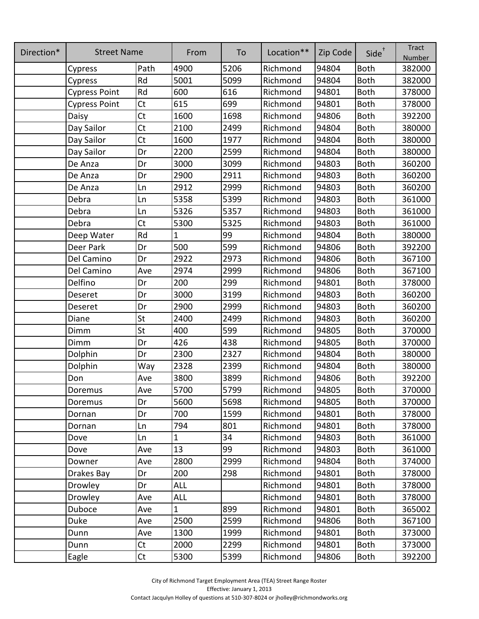| Direction* | <b>Street Name</b>   |      | From         | To   | Location** | Zip Code | Side <sup>+</sup> | <b>Tract</b><br>Number |
|------------|----------------------|------|--------------|------|------------|----------|-------------------|------------------------|
|            | Cypress              | Path | 4900         | 5206 | Richmond   | 94804    | Both              | 382000                 |
|            | Cypress              | Rd   | 5001         | 5099 | Richmond   | 94804    | <b>Both</b>       | 382000                 |
|            | <b>Cypress Point</b> | Rd   | 600          | 616  | Richmond   | 94801    | <b>Both</b>       | 378000                 |
|            | <b>Cypress Point</b> | Ct   | 615          | 699  | Richmond   | 94801    | <b>Both</b>       | 378000                 |
|            | Daisy                | Ct   | 1600         | 1698 | Richmond   | 94806    | <b>Both</b>       | 392200                 |
|            | Day Sailor           | Ct   | 2100         | 2499 | Richmond   | 94804    | <b>Both</b>       | 380000                 |
|            | Day Sailor           | Ct   | 1600         | 1977 | Richmond   | 94804    | <b>Both</b>       | 380000                 |
|            | Day Sailor           | Dr   | 2200         | 2599 | Richmond   | 94804    | <b>Both</b>       | 380000                 |
|            | De Anza              | Dr   | 3000         | 3099 | Richmond   | 94803    | <b>Both</b>       | 360200                 |
|            | De Anza              | Dr   | 2900         | 2911 | Richmond   | 94803    | <b>Both</b>       | 360200                 |
|            | De Anza              | Ln   | 2912         | 2999 | Richmond   | 94803    | <b>Both</b>       | 360200                 |
|            | Debra                | Ln   | 5358         | 5399 | Richmond   | 94803    | <b>Both</b>       | 361000                 |
|            | Debra                | Ln   | 5326         | 5357 | Richmond   | 94803    | <b>Both</b>       | 361000                 |
|            | Debra                | Ct   | 5300         | 5325 | Richmond   | 94803    | <b>Both</b>       | 361000                 |
|            | Deep Water           | Rd   | 1            | 99   | Richmond   | 94804    | <b>Both</b>       | 380000                 |
|            | Deer Park            | Dr   | 500          | 599  | Richmond   | 94806    | <b>Both</b>       | 392200                 |
|            | Del Camino           | Dr   | 2922         | 2973 | Richmond   | 94806    | <b>Both</b>       | 367100                 |
|            | Del Camino           | Ave  | 2974         | 2999 | Richmond   | 94806    | <b>Both</b>       | 367100                 |
|            | Delfino              | Dr   | 200          | 299  | Richmond   | 94801    | <b>Both</b>       | 378000                 |
|            | Deseret              | Dr   | 3000         | 3199 | Richmond   | 94803    | <b>Both</b>       | 360200                 |
|            | Deseret              | Dr   | 2900         | 2999 | Richmond   | 94803    | <b>Both</b>       | 360200                 |
|            | Diane                | St   | 2400         | 2499 | Richmond   | 94803    | <b>Both</b>       | 360200                 |
|            | Dimm                 | St   | 400          | 599  | Richmond   | 94805    | <b>Both</b>       | 370000                 |
|            | Dimm                 | Dr   | 426          | 438  | Richmond   | 94805    | <b>Both</b>       | 370000                 |
|            | Dolphin              | Dr   | 2300         | 2327 | Richmond   | 94804    | <b>Both</b>       | 380000                 |
|            | Dolphin              | Way  | 2328         | 2399 | Richmond   | 94804    | <b>Both</b>       | 380000                 |
|            | Don                  | Ave  | 3800         | 3899 | Richmond   | 94806    | <b>Both</b>       | 392200                 |
|            | Doremus              | Ave  | 5700         | 5799 | Richmond   | 94805    | <b>Both</b>       | 370000                 |
|            | Doremus              | Dr   | 5600         | 5698 | Richmond   | 94805    | <b>Both</b>       | 370000                 |
|            | Dornan               | Dr   | 700          | 1599 | Richmond   | 94801    | <b>Both</b>       | 378000                 |
|            | Dornan               | Ln   | 794          | 801  | Richmond   | 94801    | <b>Both</b>       | 378000                 |
|            | Dove                 | Ln   | $\mathbf{1}$ | 34   | Richmond   | 94803    | <b>Both</b>       | 361000                 |
|            | Dove                 | Ave  | 13           | 99   | Richmond   | 94803    | <b>Both</b>       | 361000                 |
|            | Downer               | Ave  | 2800         | 2999 | Richmond   | 94804    | <b>Both</b>       | 374000                 |
|            | Drakes Bay           | Dr   | 200          | 298  | Richmond   | 94801    | <b>Both</b>       | 378000                 |
|            | Drowley              | Dr   | <b>ALL</b>   |      | Richmond   | 94801    | <b>Both</b>       | 378000                 |
|            | Drowley              | Ave  | <b>ALL</b>   |      | Richmond   | 94801    | <b>Both</b>       | 378000                 |
|            | Duboce               | Ave  | $\mathbf{1}$ | 899  | Richmond   | 94801    | <b>Both</b>       | 365002                 |
|            | Duke                 | Ave  | 2500         | 2599 | Richmond   | 94806    | <b>Both</b>       | 367100                 |
|            | Dunn                 | Ave  | 1300         | 1999 | Richmond   | 94801    | <b>Both</b>       | 373000                 |
|            | Dunn                 | Ct   | 2000         | 2299 | Richmond   | 94801    | <b>Both</b>       | 373000                 |
|            | Eagle                | Ct   | 5300         | 5399 | Richmond   | 94806    | Both              | 392200                 |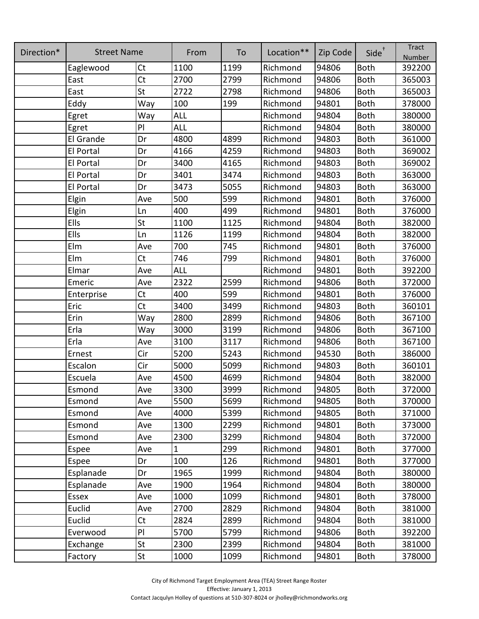| Direction* | <b>Street Name</b> |           | From        | To   | Location** | Zip Code | $Side^{\dagger}$ | <b>Tract</b><br>Number |
|------------|--------------------|-----------|-------------|------|------------|----------|------------------|------------------------|
|            | Eaglewood          | <b>Ct</b> | 1100        | 1199 | Richmond   | 94806    | <b>Both</b>      | 392200                 |
|            | East               | Ct        | 2700        | 2799 | Richmond   | 94806    | <b>Both</b>      | 365003                 |
|            | East               | St        | 2722        | 2798 | Richmond   | 94806    | <b>Both</b>      | 365003                 |
|            | Eddy               | Way       | 100         | 199  | Richmond   | 94801    | <b>Both</b>      | 378000                 |
|            | Egret              | Way       | <b>ALL</b>  |      | Richmond   | 94804    | <b>Both</b>      | 380000                 |
|            | Egret              | PI        | <b>ALL</b>  |      | Richmond   | 94804    | <b>Both</b>      | 380000                 |
|            | El Grande          | Dr        | 4800        | 4899 | Richmond   | 94803    | <b>Both</b>      | 361000                 |
|            | El Portal          | Dr        | 4166        | 4259 | Richmond   | 94803    | <b>Both</b>      | 369002                 |
|            | El Portal          | Dr        | 3400        | 4165 | Richmond   | 94803    | <b>Both</b>      | 369002                 |
|            | El Portal          | Dr        | 3401        | 3474 | Richmond   | 94803    | <b>Both</b>      | 363000                 |
|            | El Portal          | Dr        | 3473        | 5055 | Richmond   | 94803    | <b>Both</b>      | 363000                 |
|            | Elgin              | Ave       | 500         | 599  | Richmond   | 94801    | <b>Both</b>      | 376000                 |
|            | Elgin              | Ln        | 400         | 499  | Richmond   | 94801    | <b>Both</b>      | 376000                 |
|            | Ells               | St        | 1100        | 1125 | Richmond   | 94804    | <b>Both</b>      | 382000                 |
|            | Ells               | Ln        | 1126        | 1199 | Richmond   | 94804    | <b>Both</b>      | 382000                 |
|            | Elm                | Ave       | 700         | 745  | Richmond   | 94801    | <b>Both</b>      | 376000                 |
|            | Elm                | <b>Ct</b> | 746         | 799  | Richmond   | 94801    | <b>Both</b>      | 376000                 |
|            | Elmar              | Ave       | <b>ALL</b>  |      | Richmond   | 94801    | <b>Both</b>      | 392200                 |
|            | Emeric             | Ave       | 2322        | 2599 | Richmond   | 94806    | <b>Both</b>      | 372000                 |
|            | Enterprise         | <b>Ct</b> | 400         | 599  | Richmond   | 94801    | <b>Both</b>      | 376000                 |
|            | Eric               | Ct        | 3400        | 3499 | Richmond   | 94803    | <b>Both</b>      | 360101                 |
|            | Erin               | Way       | 2800        | 2899 | Richmond   | 94806    | <b>Both</b>      | 367100                 |
|            | Erla               | Way       | 3000        | 3199 | Richmond   | 94806    | <b>Both</b>      | 367100                 |
|            | Erla               | Ave       | 3100        | 3117 | Richmond   | 94806    | <b>Both</b>      | 367100                 |
|            | Ernest             | Cir       | 5200        | 5243 | Richmond   | 94530    | <b>Both</b>      | 386000                 |
|            | Escalon            | Cir       | 5000        | 5099 | Richmond   | 94803    | <b>Both</b>      | 360101                 |
|            | Escuela            | Ave       | 4500        | 4699 | Richmond   | 94804    | <b>Both</b>      | 382000                 |
|            | Esmond             | Ave       | 3300        | 3999 | Richmond   | 94805    | <b>Both</b>      | 372000                 |
|            | Esmond             | Ave       | 5500        | 5699 | Richmond   | 94805    | <b>Both</b>      | 370000                 |
|            | Esmond             | Ave       | 4000        | 5399 | Richmond   | 94805    | <b>Both</b>      | 371000                 |
|            | Esmond             | Ave       | 1300        | 2299 | Richmond   | 94801    | <b>Both</b>      | 373000                 |
|            | Esmond             | Ave       | 2300        | 3299 | Richmond   | 94804    | <b>Both</b>      | 372000                 |
|            | Espee              | Ave       | $\mathbf 1$ | 299  | Richmond   | 94801    | <b>Both</b>      | 377000                 |
|            | Espee              | Dr        | 100         | 126  | Richmond   | 94801    | <b>Both</b>      | 377000                 |
|            | Esplanade          | Dr        | 1965        | 1999 | Richmond   | 94804    | <b>Both</b>      | 380000                 |
|            | Esplanade          | Ave       | 1900        | 1964 | Richmond   | 94804    | <b>Both</b>      | 380000                 |
|            | Essex              | Ave       | 1000        | 1099 | Richmond   | 94801    | <b>Both</b>      | 378000                 |
|            | Euclid             | Ave       | 2700        | 2829 | Richmond   | 94804    | <b>Both</b>      | 381000                 |
|            | Euclid             | Ct        | 2824        | 2899 | Richmond   | 94804    | <b>Both</b>      | 381000                 |
|            | Everwood           | PI        | 5700        | 5799 | Richmond   | 94806    | Both             | 392200                 |
|            | Exchange           | St        | 2300        | 2399 | Richmond   | 94804    | <b>Both</b>      | 381000                 |
|            | Factory            | St        | 1000        | 1099 | Richmond   | 94801    | <b>Both</b>      | 378000                 |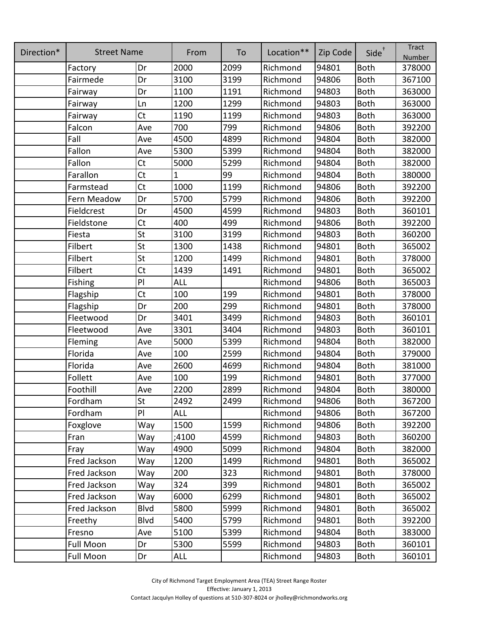| Direction* | <b>Street Name</b> |             | From         | To   | Location** | Zip Code | Side <sup>+</sup> | <b>Tract</b><br>Number |
|------------|--------------------|-------------|--------------|------|------------|----------|-------------------|------------------------|
|            | Factory            | Dr          | 2000         | 2099 | Richmond   | 94801    | <b>Both</b>       | 378000                 |
|            | Fairmede           | Dr          | 3100         | 3199 | Richmond   | 94806    | <b>Both</b>       | 367100                 |
|            | Fairway            | Dr          | 1100         | 1191 | Richmond   | 94803    | <b>Both</b>       | 363000                 |
|            | Fairway            | Ln          | 1200         | 1299 | Richmond   | 94803    | <b>Both</b>       | 363000                 |
|            | Fairway            | Ct          | 1190         | 1199 | Richmond   | 94803    | <b>Both</b>       | 363000                 |
|            | Falcon             | Ave         | 700          | 799  | Richmond   | 94806    | <b>Both</b>       | 392200                 |
|            | Fall               | Ave         | 4500         | 4899 | Richmond   | 94804    | <b>Both</b>       | 382000                 |
|            | Fallon             | Ave         | 5300         | 5399 | Richmond   | 94804    | <b>Both</b>       | 382000                 |
|            | Fallon             | <b>Ct</b>   | 5000         | 5299 | Richmond   | 94804    | <b>Both</b>       | 382000                 |
|            | Farallon           | Ct          | $\mathbf{1}$ | 99   | Richmond   | 94804    | <b>Both</b>       | 380000                 |
|            | Farmstead          | Ct          | 1000         | 1199 | Richmond   | 94806    | <b>Both</b>       | 392200                 |
|            | Fern Meadow        | Dr          | 5700         | 5799 | Richmond   | 94806    | <b>Both</b>       | 392200                 |
|            | Fieldcrest         | Dr          | 4500         | 4599 | Richmond   | 94803    | <b>Both</b>       | 360101                 |
|            | Fieldstone         | <b>Ct</b>   | 400          | 499  | Richmond   | 94806    | <b>Both</b>       | 392200                 |
|            | Fiesta             | St          | 3100         | 3199 | Richmond   | 94803    | <b>Both</b>       | 360200                 |
|            | Filbert            | St          | 1300         | 1438 | Richmond   | 94801    | <b>Both</b>       | 365002                 |
|            | Filbert            | St          | 1200         | 1499 | Richmond   | 94801    | <b>Both</b>       | 378000                 |
|            | Filbert            | <b>Ct</b>   | 1439         | 1491 | Richmond   | 94801    | <b>Both</b>       | 365002                 |
|            | Fishing            | PI          | <b>ALL</b>   |      | Richmond   | 94806    | <b>Both</b>       | 365003                 |
|            | Flagship           | <b>Ct</b>   | 100          | 199  | Richmond   | 94801    | <b>Both</b>       | 378000                 |
|            | Flagship           | Dr          | 200          | 299  | Richmond   | 94801    | <b>Both</b>       | 378000                 |
|            | Fleetwood          | Dr          | 3401         | 3499 | Richmond   | 94803    | <b>Both</b>       | 360101                 |
|            | Fleetwood          | Ave         | 3301         | 3404 | Richmond   | 94803    | <b>Both</b>       | 360101                 |
|            | Fleming            | Ave         | 5000         | 5399 | Richmond   | 94804    | <b>Both</b>       | 382000                 |
|            | Florida            | Ave         | 100          | 2599 | Richmond   | 94804    | <b>Both</b>       | 379000                 |
|            | Florida            | Ave         | 2600         | 4699 | Richmond   | 94804    | <b>Both</b>       | 381000                 |
|            | Follett            | Ave         | 100          | 199  | Richmond   | 94801    | <b>Both</b>       | 377000                 |
|            | Foothill           | Ave         | 2200         | 2899 | Richmond   | 94804    | <b>Both</b>       | 380000                 |
|            | Fordham            | St          | 2492         | 2499 | Richmond   | 94806    | <b>Both</b>       | 367200                 |
|            | Fordham            | PI          | ALL          |      | Richmond   | 94806    | <b>Both</b>       | 367200                 |
|            | Foxglove           | Way         | 1500         | 1599 | Richmond   | 94806    | <b>Both</b>       | 392200                 |
|            | Fran               | Way         | ;4100        | 4599 | Richmond   | 94803    | <b>Both</b>       | 360200                 |
|            | Fray               | Way         | 4900         | 5099 | Richmond   | 94804    | <b>Both</b>       | 382000                 |
|            | Fred Jackson       | Way         | 1200         | 1499 | Richmond   | 94801    | <b>Both</b>       | 365002                 |
|            | Fred Jackson       | Way         | 200          | 323  | Richmond   | 94801    | <b>Both</b>       | 378000                 |
|            | Fred Jackson       | Way         | 324          | 399  | Richmond   | 94801    | <b>Both</b>       | 365002                 |
|            | Fred Jackson       | Way         | 6000         | 6299 | Richmond   | 94801    | <b>Both</b>       | 365002                 |
|            | Fred Jackson       | Blvd        | 5800         | 5999 | Richmond   | 94801    | <b>Both</b>       | 365002                 |
|            | Freethy            | <b>Blvd</b> | 5400         | 5799 | Richmond   | 94801    | <b>Both</b>       | 392200                 |
|            | Fresno             | Ave         | 5100         | 5399 | Richmond   | 94804    | <b>Both</b>       | 383000                 |
|            | Full Moon          | Dr          | 5300         | 5599 | Richmond   | 94803    | <b>Both</b>       | 360101                 |
|            | Full Moon          | Dr          | ALL          |      | Richmond   | 94803    | Both              | 360101                 |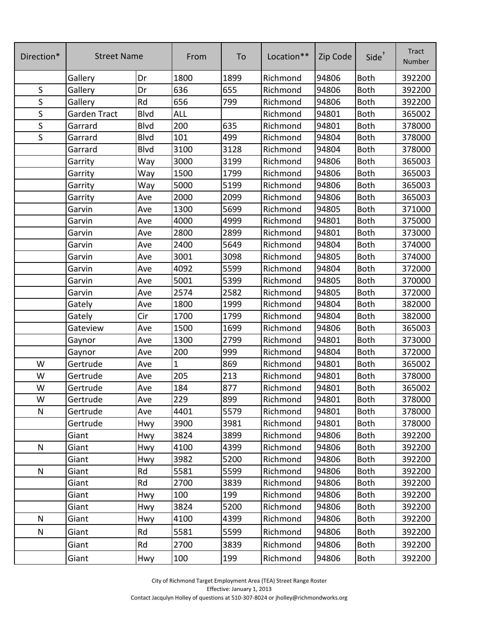| Direction*  | <b>Street Name</b> |             | From | To   | Location** | Zip Code | Side <sup>+</sup> | <b>Tract</b><br>Number |
|-------------|--------------------|-------------|------|------|------------|----------|-------------------|------------------------|
|             | Gallery            | Dr          | 1800 | 1899 | Richmond   | 94806    | <b>Both</b>       | 392200                 |
| $\sf S$     | Gallery            | Dr          | 636  | 655  | Richmond   | 94806    | <b>Both</b>       | 392200                 |
| S           | Gallery            | Rd          | 656  | 799  | Richmond   | 94806    | <b>Both</b>       | 392200                 |
| $\sf S$     | Garden Tract       | <b>Blvd</b> | ALL  |      | Richmond   | 94801    | <b>Both</b>       | 365002                 |
| $\sf S$     | Garrard            | Blvd        | 200  | 635  | Richmond   | 94801    | <b>Both</b>       | 378000                 |
| $\mathsf S$ | Garrard            | Blvd        | 101  | 499  | Richmond   | 94804    | <b>Both</b>       | 378000                 |
|             | Garrard            | Blvd        | 3100 | 3128 | Richmond   | 94804    | <b>Both</b>       | 378000                 |
|             | Garrity            | Way         | 3000 | 3199 | Richmond   | 94806    | <b>Both</b>       | 365003                 |
|             | Garrity            | Way         | 1500 | 1799 | Richmond   | 94806    | <b>Both</b>       | 365003                 |
|             | Garrity            | Way         | 5000 | 5199 | Richmond   | 94806    | <b>Both</b>       | 365003                 |
|             | Garrity            | Ave         | 2000 | 2099 | Richmond   | 94806    | <b>Both</b>       | 365003                 |
|             | Garvin             | Ave         | 1300 | 5699 | Richmond   | 94805    | <b>Both</b>       | 371000                 |
|             | Garvin             | Ave         | 4000 | 4999 | Richmond   | 94801    | <b>Both</b>       | 375000                 |
|             | Garvin             | Ave         | 2800 | 2899 | Richmond   | 94801    | <b>Both</b>       | 373000                 |
|             | Garvin             | Ave         | 2400 | 5649 | Richmond   | 94804    | <b>Both</b>       | 374000                 |
|             | Garvin             | Ave         | 3001 | 3098 | Richmond   | 94805    | <b>Both</b>       | 374000                 |
|             | Garvin             | Ave         | 4092 | 5599 | Richmond   | 94804    | <b>Both</b>       | 372000                 |
|             | Garvin             | Ave         | 5001 | 5399 | Richmond   | 94805    | Both              | 370000                 |
|             | Garvin             | Ave         | 2574 | 2582 | Richmond   | 94805    | <b>Both</b>       | 372000                 |
|             | Gately             | Ave         | 1800 | 1999 | Richmond   | 94804    | <b>Both</b>       | 382000                 |
|             | Gately             | Cir         | 1700 | 1799 | Richmond   | 94804    | <b>Both</b>       | 382000                 |
|             | Gateview           | Ave         | 1500 | 1699 | Richmond   | 94806    | <b>Both</b>       | 365003                 |
|             | Gaynor             | Ave         | 1300 | 2799 | Richmond   | 94801    | <b>Both</b>       | 373000                 |
|             | Gaynor             | Ave         | 200  | 999  | Richmond   | 94804    | <b>Both</b>       | 372000                 |
| W           | Gertrude           | Ave         | 1    | 869  | Richmond   | 94801    | <b>Both</b>       | 365002                 |
| W           | Gertrude           | Ave         | 205  | 213  | Richmond   | 94801    | <b>Both</b>       | 378000                 |
| W           | Gertrude           | Ave         | 184  | 877  | Richmond   | 94801    | <b>Both</b>       | 365002                 |
| W           | Gertrude           | Ave         | 229  | 899  | Richmond   | 94801    | <b>Both</b>       | 378000                 |
| N           | Gertrude           | Ave         | 4401 | 5579 | Richmond   | 94801    | <b>Both</b>       | 378000                 |
|             | Gertrude           | Hwy         | 3900 | 3981 | Richmond   | 94801    | <b>Both</b>       | 378000                 |
|             | Giant              | Hwy         | 3824 | 3899 | Richmond   | 94806    | <b>Both</b>       | 392200                 |
| N           | Giant              | Hwy         | 4100 | 4399 | Richmond   | 94806    | <b>Both</b>       | 392200                 |
|             | Giant              | Hwy         | 3982 | 5200 | Richmond   | 94806    | <b>Both</b>       | 392200                 |
| N           | Giant              | Rd          | 5581 | 5599 | Richmond   | 94806    | <b>Both</b>       | 392200                 |
|             | Giant              | Rd          | 2700 | 3839 | Richmond   | 94806    | <b>Both</b>       | 392200                 |
|             | Giant              | Hwy         | 100  | 199  | Richmond   | 94806    | <b>Both</b>       | 392200                 |
|             | Giant              | Hwy         | 3824 | 5200 | Richmond   | 94806    | <b>Both</b>       | 392200                 |
| N           | Giant              | Hwy         | 4100 | 4399 | Richmond   | 94806    | <b>Both</b>       | 392200                 |
| N           | Giant              | Rd          | 5581 | 5599 | Richmond   | 94806    | <b>Both</b>       | 392200                 |
|             | Giant              | Rd          | 2700 | 3839 | Richmond   | 94806    | <b>Both</b>       | 392200                 |
|             | Giant              | Hwy         | 100  | 199  | Richmond   | 94806    | <b>Both</b>       | 392200                 |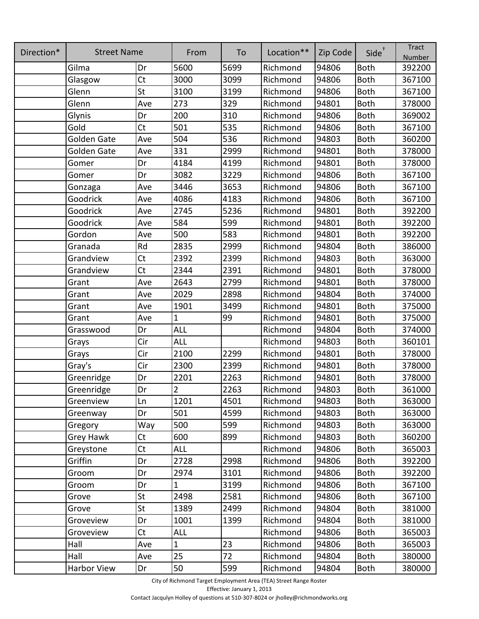| Direction* | <b>Street Name</b> |                | From           | To   | Location** | Zip Code | $Side^{\dagger}$ | <b>Tract</b><br>Number |
|------------|--------------------|----------------|----------------|------|------------|----------|------------------|------------------------|
|            | Gilma              | Dr             | 5600           | 5699 | Richmond   | 94806    | <b>Both</b>      | 392200                 |
|            | Glasgow            | Ct             | 3000           | 3099 | Richmond   | 94806    | <b>Both</b>      | 367100                 |
|            | Glenn              | St             | 3100           | 3199 | Richmond   | 94806    | <b>Both</b>      | 367100                 |
|            | Glenn              | Ave            | 273            | 329  | Richmond   | 94801    | <b>Both</b>      | 378000                 |
|            | Glynis             | Dr             | 200            | 310  | Richmond   | 94806    | Both             | 369002                 |
|            | Gold               | Ct             | 501            | 535  | Richmond   | 94806    | <b>Both</b>      | 367100                 |
|            | <b>Golden Gate</b> | Ave            | 504            | 536  | Richmond   | 94803    | <b>Both</b>      | 360200                 |
|            | <b>Golden Gate</b> | Ave            | 331            | 2999 | Richmond   | 94801    | <b>Both</b>      | 378000                 |
|            | Gomer              | Dr             | 4184           | 4199 | Richmond   | 94801    | <b>Both</b>      | 378000                 |
|            | Gomer              | Dr             | 3082           | 3229 | Richmond   | 94806    | <b>Both</b>      | 367100                 |
|            | Gonzaga            | Ave            | 3446           | 3653 | Richmond   | 94806    | <b>Both</b>      | 367100                 |
|            | Goodrick           | Ave            | 4086           | 4183 | Richmond   | 94806    | <b>Both</b>      | 367100                 |
|            | Goodrick           | Ave            | 2745           | 5236 | Richmond   | 94801    | <b>Both</b>      | 392200                 |
|            | Goodrick           | Ave            | 584            | 599  | Richmond   | 94801    | <b>Both</b>      | 392200                 |
|            | Gordon             | Ave            | 500            | 583  | Richmond   | 94801    | <b>Both</b>      | 392200                 |
|            | Granada            | Rd             | 2835           | 2999 | Richmond   | 94804    | Both             | 386000                 |
|            | Grandview          | Ct             | 2392           | 2399 | Richmond   | 94803    | <b>Both</b>      | 363000                 |
|            | Grandview          | Ct             | 2344           | 2391 | Richmond   | 94801    | <b>Both</b>      | 378000                 |
|            | Grant              | Ave            | 2643           | 2799 | Richmond   | 94801    | <b>Both</b>      | 378000                 |
|            | Grant              | Ave            | 2029           | 2898 | Richmond   | 94804    | <b>Both</b>      | 374000                 |
|            | Grant              | Ave            | 1901           | 3499 | Richmond   | 94801    | <b>Both</b>      | 375000                 |
|            | Grant              | Ave            | $\overline{1}$ | 99   | Richmond   | 94801    | <b>Both</b>      | 375000                 |
|            | Grasswood          | Dr             | <b>ALL</b>     |      | Richmond   | 94804    | <b>Both</b>      | 374000                 |
|            | Grays              | Cir            | ALL            |      | Richmond   | 94803    | <b>Both</b>      | 360101                 |
|            | Grays              | Cir            | 2100           | 2299 | Richmond   | 94801    | <b>Both</b>      | 378000                 |
|            | Gray's             | Cir            | 2300           | 2399 | Richmond   | 94801    | <b>Both</b>      | 378000                 |
|            | Greenridge         | Dr             | 2201           | 2263 | Richmond   | 94801    | <b>Both</b>      | 378000                 |
|            | Greenridge         | Dr             | $\overline{2}$ | 2263 | Richmond   | 94803    | <b>Both</b>      | 361000                 |
|            | Greenview          | Ln             | 1201           | 4501 | Richmond   | 94803    | <b>Both</b>      | 363000                 |
|            | Greenway           | Dr             | 501            | 4599 | Richmond   | 94803    | <b>Both</b>      | 363000                 |
|            | Gregory            | Way            | 500            | 599  | Richmond   | 94803    | <b>Both</b>      | 363000                 |
|            | Grey Hawk          | <b>Ct</b>      | 600            | 899  | Richmond   | 94803    | <b>Both</b>      | 360200                 |
|            | Greystone          | C <sub>t</sub> | <b>ALL</b>     |      | Richmond   | 94806    | <b>Both</b>      | 365003                 |
|            | Griffin            | Dr             | 2728           | 2998 | Richmond   | 94806    | <b>Both</b>      | 392200                 |
|            | Groom              | Dr             | 2974           | 3101 | Richmond   | 94806    | <b>Both</b>      | 392200                 |
|            | Groom              | Dr             | 1              | 3199 | Richmond   | 94806    | <b>Both</b>      | 367100                 |
|            | Grove              | St             | 2498           | 2581 | Richmond   | 94806    | <b>Both</b>      | 367100                 |
|            | Grove              | St             | 1389           | 2499 | Richmond   | 94804    | <b>Both</b>      | 381000                 |
|            | Groveview          | Dr             | 1001           | 1399 | Richmond   | 94804    | <b>Both</b>      | 381000                 |
|            | Groveview          | <b>Ct</b>      | <b>ALL</b>     |      | Richmond   | 94806    | <b>Both</b>      | 365003                 |
|            | Hall               | Ave            | $\mathbf{1}$   | 23   | Richmond   | 94806    | <b>Both</b>      | 365003                 |
|            | Hall               | Ave            | 25             | 72   | Richmond   | 94804    | <b>Both</b>      | 380000                 |
|            | Harbor View        | Dr             | 50             | 599  | Richmond   | 94804    | <b>Both</b>      | 380000                 |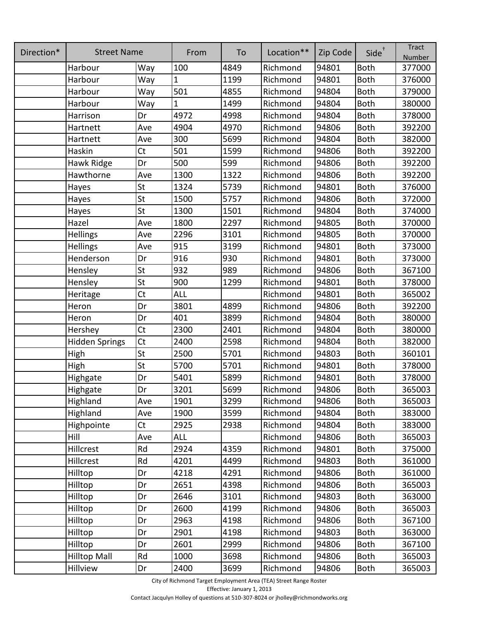| Direction* | <b>Street Name</b>    |           | From         | To   | Location** | Zip Code | $Side^{\dagger}$ | <b>Tract</b><br>Number |
|------------|-----------------------|-----------|--------------|------|------------|----------|------------------|------------------------|
|            | Harbour               | Way       | 100          | 4849 | Richmond   | 94801    | <b>Both</b>      | 377000                 |
|            | Harbour               | Way       | $\mathbf{1}$ | 1199 | Richmond   | 94801    | <b>Both</b>      | 376000                 |
|            | Harbour               | Way       | 501          | 4855 | Richmond   | 94804    | <b>Both</b>      | 379000                 |
|            | Harbour               | Way       | $\mathbf{1}$ | 1499 | Richmond   | 94804    | <b>Both</b>      | 380000                 |
|            | Harrison              | Dr        | 4972         | 4998 | Richmond   | 94804    | <b>Both</b>      | 378000                 |
|            | Hartnett              | Ave       | 4904         | 4970 | Richmond   | 94806    | <b>Both</b>      | 392200                 |
|            | Hartnett              | Ave       | 300          | 5699 | Richmond   | 94804    | <b>Both</b>      | 382000                 |
|            | Haskin                | <b>Ct</b> | 501          | 1599 | Richmond   | 94806    | <b>Both</b>      | 392200                 |
|            | Hawk Ridge            | Dr        | 500          | 599  | Richmond   | 94806    | <b>Both</b>      | 392200                 |
|            | Hawthorne             | Ave       | 1300         | 1322 | Richmond   | 94806    | <b>Both</b>      | 392200                 |
|            | Hayes                 | St        | 1324         | 5739 | Richmond   | 94801    | <b>Both</b>      | 376000                 |
|            | Hayes                 | St        | 1500         | 5757 | Richmond   | 94806    | <b>Both</b>      | 372000                 |
|            | Hayes                 | St        | 1300         | 1501 | Richmond   | 94804    | <b>Both</b>      | 374000                 |
|            | Hazel                 | Ave       | 1800         | 2297 | Richmond   | 94805    | <b>Both</b>      | 370000                 |
|            | Hellings              | Ave       | 2296         | 3101 | Richmond   | 94805    | <b>Both</b>      | 370000                 |
|            | Hellings              | Ave       | 915          | 3199 | Richmond   | 94801    | <b>Both</b>      | 373000                 |
|            | Henderson             | Dr        | 916          | 930  | Richmond   | 94801    | <b>Both</b>      | 373000                 |
|            | Hensley               | St        | 932          | 989  | Richmond   | 94806    | <b>Both</b>      | 367100                 |
|            | Hensley               | St        | 900          | 1299 | Richmond   | 94801    | <b>Both</b>      | 378000                 |
|            | Heritage              | Ct        | <b>ALL</b>   |      | Richmond   | 94801    | <b>Both</b>      | 365002                 |
|            | Heron                 | Dr        | 3801         | 4899 | Richmond   | 94806    | <b>Both</b>      | 392200                 |
|            | Heron                 | Dr        | 401          | 3899 | Richmond   | 94804    | <b>Both</b>      | 380000                 |
|            | Hershey               | <b>Ct</b> | 2300         | 2401 | Richmond   | 94804    | <b>Both</b>      | 380000                 |
|            | <b>Hidden Springs</b> | <b>Ct</b> | 2400         | 2598 | Richmond   | 94804    | <b>Both</b>      | 382000                 |
|            | High                  | St        | 2500         | 5701 | Richmond   | 94803    | <b>Both</b>      | 360101                 |
|            | High                  | St        | 5700         | 5701 | Richmond   | 94801    | <b>Both</b>      | 378000                 |
|            | Highgate              | Dr        | 5401         | 5899 | Richmond   | 94801    | <b>Both</b>      | 378000                 |
|            | <b>Highgate</b>       | Dr        | 3201         | 5699 | Richmond   | 94806    | <b>Both</b>      | 365003                 |
|            | Highland              | Ave       | 1901         | 3299 | Richmond   | 94806    | <b>Both</b>      | 365003                 |
|            | Highland              | Ave       | 1900         | 3599 | Richmond   | 94804    | <b>Both</b>      | 383000                 |
|            | Highpointe            | <b>Ct</b> | 2925         | 2938 | Richmond   | 94804    | <b>Both</b>      | 383000                 |
|            | Hill                  | Ave       | <b>ALL</b>   |      | Richmond   | 94806    | <b>Both</b>      | 365003                 |
|            | Hillcrest             | Rd        | 2924         | 4359 | Richmond   | 94801    | <b>Both</b>      | 375000                 |
|            | Hillcrest             | Rd        | 4201         | 4499 | Richmond   | 94803    | <b>Both</b>      | 361000                 |
|            | Hilltop               | Dr        | 4218         | 4291 | Richmond   | 94806    | <b>Both</b>      | 361000                 |
|            | Hilltop               | Dr        | 2651         | 4398 | Richmond   | 94806    | <b>Both</b>      | 365003                 |
|            | Hilltop               | Dr        | 2646         | 3101 | Richmond   | 94803    | <b>Both</b>      | 363000                 |
|            | Hilltop               | Dr        | 2600         | 4199 | Richmond   | 94806    | <b>Both</b>      | 365003                 |
|            | Hilltop               | Dr        | 2963         | 4198 | Richmond   | 94806    | <b>Both</b>      | 367100                 |
|            | Hilltop               | Dr        | 2901         | 4198 | Richmond   | 94803    | Both             | 363000                 |
|            | Hilltop               | Dr        | 2601         | 2999 | Richmond   | 94806    | <b>Both</b>      | 367100                 |
|            | <b>Hilltop Mall</b>   | Rd        | 1000         | 3698 | Richmond   | 94806    | <b>Both</b>      | 365003                 |
|            | Hillview              | Dr        | 2400         | 3699 | Richmond   | 94806    | Both             | 365003                 |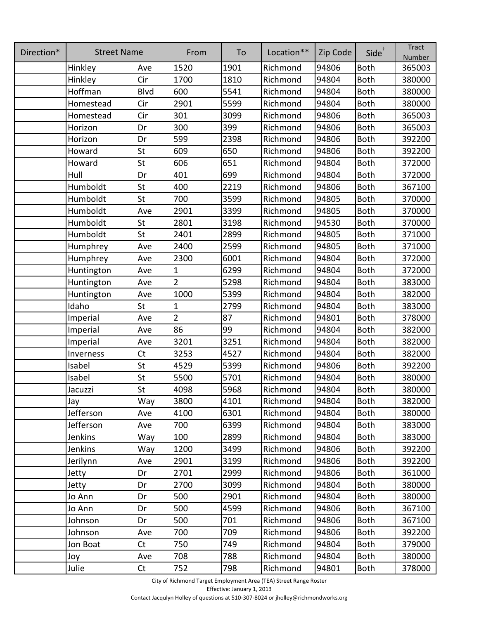| Direction* | <b>Street Name</b> |                | From           | To   | Location** | Zip Code | $Side^{\dagger}$ | <b>Tract</b><br>Number |
|------------|--------------------|----------------|----------------|------|------------|----------|------------------|------------------------|
|            | Hinkley            | Ave            | 1520           | 1901 | Richmond   | 94806    | <b>Both</b>      | 365003                 |
|            | Hinkley            | Cir            | 1700           | 1810 | Richmond   | 94804    | <b>Both</b>      | 380000                 |
|            | Hoffman            | <b>Blvd</b>    | 600            | 5541 | Richmond   | 94804    | <b>Both</b>      | 380000                 |
|            | Homestead          | Cir            | 2901           | 5599 | Richmond   | 94804    | <b>Both</b>      | 380000                 |
|            | Homestead          | Cir            | 301            | 3099 | Richmond   | 94806    | <b>Both</b>      | 365003                 |
|            | Horizon            | Dr             | 300            | 399  | Richmond   | 94806    | <b>Both</b>      | 365003                 |
|            | Horizon            | Dr             | 599            | 2398 | Richmond   | 94806    | <b>Both</b>      | 392200                 |
|            | Howard             | St             | 609            | 650  | Richmond   | 94806    | <b>Both</b>      | 392200                 |
|            | Howard             | St             | 606            | 651  | Richmond   | 94804    | <b>Both</b>      | 372000                 |
|            | Hull               | Dr             | 401            | 699  | Richmond   | 94804    | <b>Both</b>      | 372000                 |
|            | Humboldt           | St             | 400            | 2219 | Richmond   | 94806    | <b>Both</b>      | 367100                 |
|            | Humboldt           | St             | 700            | 3599 | Richmond   | 94805    | <b>Both</b>      | 370000                 |
|            | Humboldt           | Ave            | 2901           | 3399 | Richmond   | 94805    | <b>Both</b>      | 370000                 |
|            | Humboldt           | St             | 2801           | 3198 | Richmond   | 94530    | <b>Both</b>      | 370000                 |
|            | Humboldt           | St             | 2401           | 2899 | Richmond   | 94805    | <b>Both</b>      | 371000                 |
|            | Humphrey           | Ave            | 2400           | 2599 | Richmond   | 94805    | <b>Both</b>      | 371000                 |
|            | Humphrey           | Ave            | 2300           | 6001 | Richmond   | 94804    | <b>Both</b>      | 372000                 |
|            | Huntington         | Ave            | $\mathbf{1}$   | 6299 | Richmond   | 94804    | <b>Both</b>      | 372000                 |
|            | Huntington         | Ave            | $\overline{2}$ | 5298 | Richmond   | 94804    | <b>Both</b>      | 383000                 |
|            | Huntington         | Ave            | 1000           | 5399 | Richmond   | 94804    | <b>Both</b>      | 382000                 |
|            | Idaho              | St             | $\mathbf{1}$   | 2799 | Richmond   | 94804    | <b>Both</b>      | 383000                 |
|            | Imperial           | Ave            | $\overline{2}$ | 87   | Richmond   | 94801    | <b>Both</b>      | 378000                 |
|            | Imperial           | Ave            | 86             | 99   | Richmond   | 94804    | <b>Both</b>      | 382000                 |
|            | Imperial           | Ave            | 3201           | 3251 | Richmond   | 94804    | <b>Both</b>      | 382000                 |
|            | Inverness          | <b>Ct</b>      | 3253           | 4527 | Richmond   | 94804    | <b>Both</b>      | 382000                 |
|            | Isabel             | St             | 4529           | 5399 | Richmond   | 94806    | <b>Both</b>      | 392200                 |
|            | Isabel             | St             | 5500           | 5701 | Richmond   | 94804    | <b>Both</b>      | 380000                 |
|            | Jacuzzi            | St             | 4098           | 5968 | Richmond   | 94804    | <b>Both</b>      | 380000                 |
|            | Jay                | Way            | 3800           | 4101 | Richmond   | 94804    | <b>Both</b>      | 382000                 |
|            | Jefferson          | Ave            | 4100           | 6301 | Richmond   | 94804    | <b>Both</b>      | 380000                 |
|            | Jefferson          | Ave            | 700            | 6399 | Richmond   | 94804    | <b>Both</b>      | 383000                 |
|            | <b>Jenkins</b>     | Way            | 100            | 2899 | Richmond   | 94804    | <b>Both</b>      | 383000                 |
|            | <b>Jenkins</b>     | Way            | 1200           | 3499 | Richmond   | 94806    | <b>Both</b>      | 392200                 |
|            | Jerilynn           | Ave            | 2901           | 3199 | Richmond   | 94806    | <b>Both</b>      | 392200                 |
|            | Jetty              | Dr             | 2701           | 2999 | Richmond   | 94806    | <b>Both</b>      | 361000                 |
|            | Jetty              | Dr             | 2700           | 3099 | Richmond   | 94804    | <b>Both</b>      | 380000                 |
|            | Jo Ann             | Dr             | 500            | 2901 | Richmond   | 94804    | <b>Both</b>      | 380000                 |
|            | Jo Ann             | Dr             | 500            | 4599 | Richmond   | 94806    | <b>Both</b>      | 367100                 |
|            | Johnson            | Dr             | 500            | 701  | Richmond   | 94806    | <b>Both</b>      | 367100                 |
|            | Johnson            | Ave            | 700            | 709  | Richmond   | 94806    | <b>Both</b>      | 392200                 |
|            | Jon Boat           | Ct             | 750            | 749  | Richmond   | 94804    | <b>Both</b>      | 379000                 |
|            | Joy                | Ave            | 708            | 788  | Richmond   | 94804    | <b>Both</b>      | 380000                 |
|            | Julie              | C <sub>t</sub> | 752            | 798  | Richmond   | 94801    | <b>Both</b>      | 378000                 |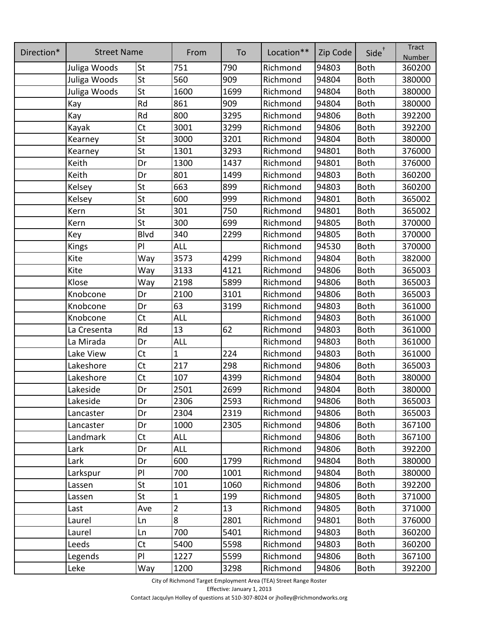| Direction* | <b>Street Name</b> |                | From           | To   | Location** | Zip Code | Side <sup>+</sup> | <b>Tract</b><br>Number |
|------------|--------------------|----------------|----------------|------|------------|----------|-------------------|------------------------|
|            | Juliga Woods       | St             | 751            | 790  | Richmond   | 94803    | <b>Both</b>       | 360200                 |
|            | Juliga Woods       | St             | 560            | 909  | Richmond   | 94804    | <b>Both</b>       | 380000                 |
|            | Juliga Woods       | St             | 1600           | 1699 | Richmond   | 94804    | <b>Both</b>       | 380000                 |
|            | Kay                | Rd             | 861            | 909  | Richmond   | 94804    | <b>Both</b>       | 380000                 |
|            | Kay                | Rd             | 800            | 3295 | Richmond   | 94806    | <b>Both</b>       | 392200                 |
|            | Kayak              | <b>Ct</b>      | 3001           | 3299 | Richmond   | 94806    | <b>Both</b>       | 392200                 |
|            | Kearney            | St             | 3000           | 3201 | Richmond   | 94804    | <b>Both</b>       | 380000                 |
|            | Kearney            | St             | 1301           | 3293 | Richmond   | 94801    | <b>Both</b>       | 376000                 |
|            | Keith              | Dr             | 1300           | 1437 | Richmond   | 94801    | <b>Both</b>       | 376000                 |
|            | Keith              | Dr             | 801            | 1499 | Richmond   | 94803    | <b>Both</b>       | 360200                 |
|            | Kelsey             | St             | 663            | 899  | Richmond   | 94803    | <b>Both</b>       | 360200                 |
|            | Kelsey             | St             | 600            | 999  | Richmond   | 94801    | <b>Both</b>       | 365002                 |
|            | Kern               | St             | 301            | 750  | Richmond   | 94801    | <b>Both</b>       | 365002                 |
|            | Kern               | St             | 300            | 699  | Richmond   | 94805    | <b>Both</b>       | 370000                 |
|            | Key                | <b>Blvd</b>    | 340            | 2299 | Richmond   | 94805    | <b>Both</b>       | 370000                 |
|            | Kings              | PI             | ALL            |      | Richmond   | 94530    | <b>Both</b>       | 370000                 |
|            | Kite               | Way            | 3573           | 4299 | Richmond   | 94804    | <b>Both</b>       | 382000                 |
|            | Kite               | Way            | 3133           | 4121 | Richmond   | 94806    | <b>Both</b>       | 365003                 |
|            | Klose              | Way            | 2198           | 5899 | Richmond   | 94806    | <b>Both</b>       | 365003                 |
|            | Knobcone           | Dr             | 2100           | 3101 | Richmond   | 94806    | <b>Both</b>       | 365003                 |
|            | Knobcone           | Dr             | 63             | 3199 | Richmond   | 94803    | <b>Both</b>       | 361000                 |
|            | Knobcone           | <b>Ct</b>      | <b>ALL</b>     |      | Richmond   | 94803    | <b>Both</b>       | 361000                 |
|            | La Cresenta        | Rd             | 13             | 62   | Richmond   | 94803    | <b>Both</b>       | 361000                 |
|            | La Mirada          | Dr             | <b>ALL</b>     |      | Richmond   | 94803    | <b>Both</b>       | 361000                 |
|            | Lake View          | C <sub>t</sub> | $\mathbf{1}$   | 224  | Richmond   | 94803    | <b>Both</b>       | 361000                 |
|            | Lakeshore          | C <sub>t</sub> | 217            | 298  | Richmond   | 94806    | <b>Both</b>       | 365003                 |
|            | Lakeshore          | Ct             | 107            | 4399 | Richmond   | 94804    | <b>Both</b>       | 380000                 |
|            | Lakeside           | Dr             | 2501           | 2699 | Richmond   | 94804    | <b>Both</b>       | 380000                 |
|            | Lakeside           | Dr             | 2306           | 2593 | Richmond   | 94806    | <b>Both</b>       | 365003                 |
|            | Lancaster          | Dr             | 2304           | 2319 | Richmond   | 94806    | <b>Both</b>       | 365003                 |
|            | Lancaster          | Dr             | 1000           | 2305 | Richmond   | 94806    | <b>Both</b>       | 367100                 |
|            | Landmark           | Ct             | <b>ALL</b>     |      | Richmond   | 94806    | <b>Both</b>       | 367100                 |
|            | Lark               | Dr             | <b>ALL</b>     |      | Richmond   | 94806    | <b>Both</b>       | 392200                 |
|            | Lark               | Dr             | 600            | 1799 | Richmond   | 94804    | <b>Both</b>       | 380000                 |
|            | Larkspur           | PI             | 700            | 1001 | Richmond   | 94804    | <b>Both</b>       | 380000                 |
|            | Lassen             | St             | 101            | 1060 | Richmond   | 94806    | <b>Both</b>       | 392200                 |
|            | Lassen             | St             | $\mathbf 1$    | 199  | Richmond   | 94805    | <b>Both</b>       | 371000                 |
|            | Last               | Ave            | $\overline{2}$ | 13   | Richmond   | 94805    | <b>Both</b>       | 371000                 |
|            | Laurel             | Ln             | 8              | 2801 | Richmond   | 94801    | <b>Both</b>       | 376000                 |
|            | Laurel             | Ln             | 700            | 5401 | Richmond   | 94803    | <b>Both</b>       | 360200                 |
|            | Leeds              | Ct             | 5400           | 5598 | Richmond   | 94803    | <b>Both</b>       | 360200                 |
|            | Legends            | PI             | 1227           | 5599 | Richmond   | 94806    | <b>Both</b>       | 367100                 |
|            | Leke               | Way            | 1200           | 3298 | Richmond   | 94806    | Both              | 392200                 |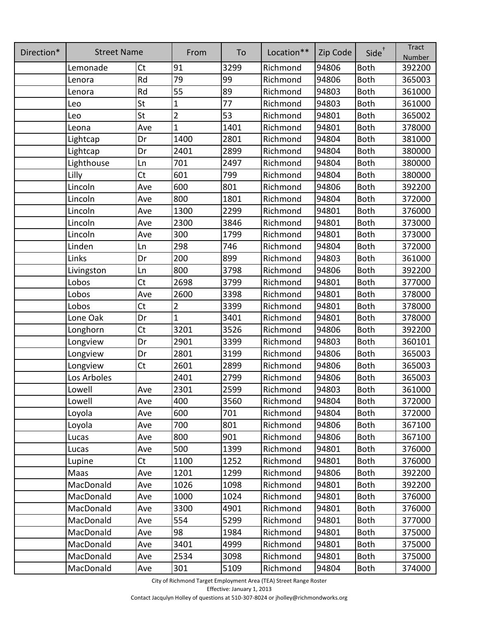| Direction* | <b>Street Name</b> |                | From           | To   | Location** | Zip Code | Side <sup>+</sup> | <b>Tract</b><br>Number |
|------------|--------------------|----------------|----------------|------|------------|----------|-------------------|------------------------|
|            | Lemonade           | <b>Ct</b>      | 91             | 3299 | Richmond   | 94806    | <b>Both</b>       | 392200                 |
|            | Lenora             | Rd             | 79             | 99   | Richmond   | 94806    | <b>Both</b>       | 365003                 |
|            | Lenora             | Rd             | 55             | 89   | Richmond   | 94803    | <b>Both</b>       | 361000                 |
|            | Leo                | St             | $\mathbf{1}$   | 77   | Richmond   | 94803    | <b>Both</b>       | 361000                 |
|            | Leo                | St             | $\overline{2}$ | 53   | Richmond   | 94801    | <b>Both</b>       | 365002                 |
|            | Leona              | Ave            | $\mathbf{1}$   | 1401 | Richmond   | 94801    | <b>Both</b>       | 378000                 |
|            | Lightcap           | Dr             | 1400           | 2801 | Richmond   | 94804    | <b>Both</b>       | 381000                 |
|            | Lightcap           | Dr             | 2401           | 2899 | Richmond   | 94804    | <b>Both</b>       | 380000                 |
|            | Lighthouse         | Ln             | 701            | 2497 | Richmond   | 94804    | <b>Both</b>       | 380000                 |
|            | Lilly              | Ct             | 601            | 799  | Richmond   | 94804    | <b>Both</b>       | 380000                 |
|            | Lincoln            | Ave            | 600            | 801  | Richmond   | 94806    | <b>Both</b>       | 392200                 |
|            | Lincoln            | Ave            | 800            | 1801 | Richmond   | 94804    | <b>Both</b>       | 372000                 |
|            | Lincoln            | Ave            | 1300           | 2299 | Richmond   | 94801    | <b>Both</b>       | 376000                 |
|            | Lincoln            | Ave            | 2300           | 3846 | Richmond   | 94801    | <b>Both</b>       | 373000                 |
|            | Lincoln            | Ave            | 300            | 1799 | Richmond   | 94801    | <b>Both</b>       | 373000                 |
|            | Linden             | Ln             | 298            | 746  | Richmond   | 94804    | <b>Both</b>       | 372000                 |
|            | Links              | Dr             | 200            | 899  | Richmond   | 94803    | <b>Both</b>       | 361000                 |
|            | Livingston         | Ln             | 800            | 3798 | Richmond   | 94806    | <b>Both</b>       | 392200                 |
|            | Lobos              | <b>Ct</b>      | 2698           | 3799 | Richmond   | 94801    | <b>Both</b>       | 377000                 |
|            | Lobos              | Ave            | 2600           | 3398 | Richmond   | 94801    | <b>Both</b>       | 378000                 |
|            | Lobos              | Ct             | $\overline{2}$ | 3399 | Richmond   | 94801    | <b>Both</b>       | 378000                 |
|            | Lone Oak           | Dr             | $\overline{1}$ | 3401 | Richmond   | 94801    | <b>Both</b>       | 378000                 |
|            | Longhorn           | C <sub>t</sub> | 3201           | 3526 | Richmond   | 94806    | <b>Both</b>       | 392200                 |
|            | Longview           | Dr             | 2901           | 3399 | Richmond   | 94803    | <b>Both</b>       | 360101                 |
|            | Longview           | Dr             | 2801           | 3199 | Richmond   | 94806    | <b>Both</b>       | 365003                 |
|            | Longview           | C <sub>t</sub> | 2601           | 2899 | Richmond   | 94806    | <b>Both</b>       | 365003                 |
|            | Los Arboles        |                | 2401           | 2799 | Richmond   | 94806    | <b>Both</b>       | 365003                 |
|            | Lowell             | Ave            | 2301           | 2599 | Richmond   | 94803    | <b>Both</b>       | 361000                 |
|            | Lowell             | Ave            | 400            | 3560 | Richmond   | 94804    | <b>Both</b>       | 372000                 |
|            | Loyola             | Ave            | 600            | 701  | Richmond   | 94804    | <b>Both</b>       | 372000                 |
|            | Loyola             | Ave            | 700            | 801  | Richmond   | 94806    | <b>Both</b>       | 367100                 |
|            | Lucas              | Ave            | 800            | 901  | Richmond   | 94806    | <b>Both</b>       | 367100                 |
|            | Lucas              | Ave            | 500            | 1399 | Richmond   | 94801    | <b>Both</b>       | 376000                 |
|            | Lupine             | <b>Ct</b>      | 1100           | 1252 | Richmond   | 94801    | <b>Both</b>       | 376000                 |
|            | Maas               | Ave            | 1201           | 1299 | Richmond   | 94806    | <b>Both</b>       | 392200                 |
|            | MacDonald          | Ave            | 1026           | 1098 | Richmond   | 94801    | <b>Both</b>       | 392200                 |
|            | MacDonald          | Ave            | 1000           | 1024 | Richmond   | 94801    | <b>Both</b>       | 376000                 |
|            | MacDonald          | Ave            | 3300           | 4901 | Richmond   | 94801    | <b>Both</b>       | 376000                 |
|            | MacDonald          | Ave            | 554            | 5299 | Richmond   | 94801    | <b>Both</b>       | 377000                 |
|            | MacDonald          | Ave            | 98             | 1984 | Richmond   | 94801    | <b>Both</b>       | 375000                 |
|            | MacDonald          | Ave            | 3401           | 4999 | Richmond   | 94801    | <b>Both</b>       | 375000                 |
|            | MacDonald          | Ave            | 2534           | 3098 | Richmond   | 94801    | <b>Both</b>       | 375000                 |
|            | MacDonald          | Ave            | 301            | 5109 | Richmond   | 94804    | Both              | 374000                 |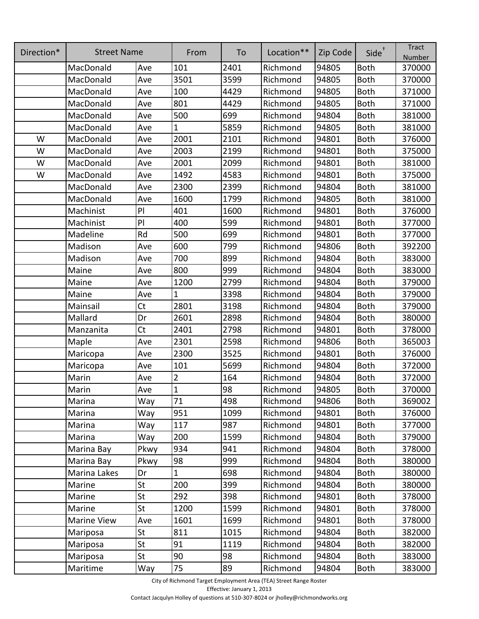| Direction* | <b>Street Name</b> |           | From           | To   | Location** | Zip Code | $Side^{\dagger}$ | <b>Tract</b><br>Number |
|------------|--------------------|-----------|----------------|------|------------|----------|------------------|------------------------|
|            | MacDonald          | Ave       | 101            | 2401 | Richmond   | 94805    | <b>Both</b>      | 370000                 |
|            | MacDonald          | Ave       | 3501           | 3599 | Richmond   | 94805    | <b>Both</b>      | 370000                 |
|            | MacDonald          | Ave       | 100            | 4429 | Richmond   | 94805    | <b>Both</b>      | 371000                 |
|            | MacDonald          | Ave       | 801            | 4429 | Richmond   | 94805    | <b>Both</b>      | 371000                 |
|            | MacDonald          | Ave       | 500            | 699  | Richmond   | 94804    | <b>Both</b>      | 381000                 |
|            | MacDonald          | Ave       | 1              | 5859 | Richmond   | 94805    | <b>Both</b>      | 381000                 |
| W          | MacDonald          | Ave       | 2001           | 2101 | Richmond   | 94801    | <b>Both</b>      | 376000                 |
| W          | MacDonald          | Ave       | 2003           | 2199 | Richmond   | 94801    | <b>Both</b>      | 375000                 |
| W          | MacDonald          | Ave       | 2001           | 2099 | Richmond   | 94801    | <b>Both</b>      | 381000                 |
| W          | MacDonald          | Ave       | 1492           | 4583 | Richmond   | 94801    | <b>Both</b>      | 375000                 |
|            | MacDonald          | Ave       | 2300           | 2399 | Richmond   | 94804    | <b>Both</b>      | 381000                 |
|            | MacDonald          | Ave       | 1600           | 1799 | Richmond   | 94805    | <b>Both</b>      | 381000                 |
|            | Machinist          | PI        | 401            | 1600 | Richmond   | 94801    | <b>Both</b>      | 376000                 |
|            | Machinist          | PI        | 400            | 599  | Richmond   | 94801    | <b>Both</b>      | 377000                 |
|            | Madeline           | Rd        | 500            | 699  | Richmond   | 94801    | Both             | 377000                 |
|            | Madison            | Ave       | 600            | 799  | Richmond   | 94806    | <b>Both</b>      | 392200                 |
|            | Madison            | Ave       | 700            | 899  | Richmond   | 94804    | <b>Both</b>      | 383000                 |
|            | Maine              | Ave       | 800            | 999  | Richmond   | 94804    | <b>Both</b>      | 383000                 |
|            | Maine              | Ave       | 1200           | 2799 | Richmond   | 94804    | <b>Both</b>      | 379000                 |
|            | Maine              | Ave       | 1              | 3398 | Richmond   | 94804    | <b>Both</b>      | 379000                 |
|            | Mainsail           | Ct        | 2801           | 3198 | Richmond   | 94804    | <b>Both</b>      | 379000                 |
|            | Mallard            | Dr        | 2601           | 2898 | Richmond   | 94804    | <b>Both</b>      | 380000                 |
|            | Manzanita          | Ct        | 2401           | 2798 | Richmond   | 94801    | <b>Both</b>      | 378000                 |
|            | Maple              | Ave       | 2301           | 2598 | Richmond   | 94806    | <b>Both</b>      | 365003                 |
|            | Maricopa           | Ave       | 2300           | 3525 | Richmond   | 94801    | <b>Both</b>      | 376000                 |
|            | Maricopa           | Ave       | 101            | 5699 | Richmond   | 94804    | <b>Both</b>      | 372000                 |
|            | Marin              | Ave       | 2              | 164  | Richmond   | 94804    | <b>Both</b>      | 372000                 |
|            | Marin              | Ave       | $\overline{1}$ | 98   | Richmond   | 94805    | <b>Both</b>      | 370000                 |
|            | Marina             | Way       | 71             | 498  | Richmond   | 94806    | <b>Both</b>      | 369002                 |
|            | Marina             | Way       | 951            | 1099 | Richmond   | 94801    | <b>Both</b>      | 376000                 |
|            | Marina             | Way       | 117            | 987  | Richmond   | 94801    | <b>Both</b>      | 377000                 |
|            | Marina             | Way       | 200            | 1599 | Richmond   | 94804    | <b>Both</b>      | 379000                 |
|            | Marina Bay         | Pkwy      | 934            | 941  | Richmond   | 94804    | <b>Both</b>      | 378000                 |
|            | Marina Bay         | Pkwy      | 98             | 999  | Richmond   | 94804    | <b>Both</b>      | 380000                 |
|            | Marina Lakes       | Dr        | $\mathbf 1$    | 698  | Richmond   | 94804    | <b>Both</b>      | 380000                 |
|            | Marine             | St        | 200            | 399  | Richmond   | 94804    | <b>Both</b>      | 380000                 |
|            | Marine             | St        | 292            | 398  | Richmond   | 94801    | <b>Both</b>      | 378000                 |
|            | Marine             | <b>St</b> | 1200           | 1599 | Richmond   | 94801    | <b>Both</b>      | 378000                 |
|            | <b>Marine View</b> | Ave       | 1601           | 1699 | Richmond   | 94801    | <b>Both</b>      | 378000                 |
|            | Mariposa           | St        | 811            | 1015 | Richmond   | 94804    | <b>Both</b>      | 382000                 |
|            | Mariposa           | St        | 91             | 1119 | Richmond   | 94804    | <b>Both</b>      | 382000                 |
|            | Mariposa           | St        | 90             | 98   | Richmond   | 94804    | <b>Both</b>      | 383000                 |
|            | Maritime           | Way       | 75             | 89   | Richmond   | 94804    | Both             | 383000                 |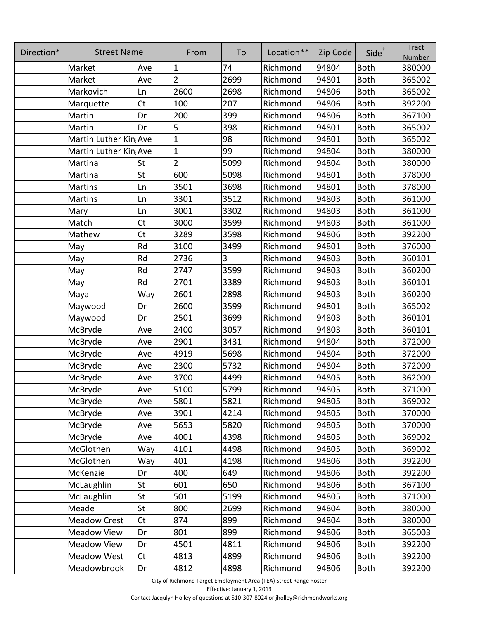| Direction* | <b>Street Name</b>    |           | From           | To   | Location** | Zip Code | $Side^{\dagger}$ | <b>Tract</b><br>Number |
|------------|-----------------------|-----------|----------------|------|------------|----------|------------------|------------------------|
|            | Market                | Ave       | 1              | 74   | Richmond   | 94804    | <b>Both</b>      | 380000                 |
|            | Market                | Ave       | $\overline{2}$ | 2699 | Richmond   | 94801    | <b>Both</b>      | 365002                 |
|            | Markovich             | Ln        | 2600           | 2698 | Richmond   | 94806    | <b>Both</b>      | 365002                 |
|            | Marquette             | Ct        | 100            | 207  | Richmond   | 94806    | <b>Both</b>      | 392200                 |
|            | Martin                | Dr        | 200            | 399  | Richmond   | 94806    | <b>Both</b>      | 367100                 |
|            | Martin                | Dr        | 5              | 398  | Richmond   | 94801    | <b>Both</b>      | 365002                 |
|            | Martin Luther Kin Ave |           | $\overline{1}$ | 98   | Richmond   | 94801    | <b>Both</b>      | 365002                 |
|            | Martin Luther Kin Ave |           | $\mathbf{1}$   | 99   | Richmond   | 94804    | <b>Both</b>      | 380000                 |
|            | Martina               | St        | $\overline{2}$ | 5099 | Richmond   | 94804    | <b>Both</b>      | 380000                 |
|            | Martina               | St        | 600            | 5098 | Richmond   | 94801    | <b>Both</b>      | 378000                 |
|            | <b>Martins</b>        | Ln        | 3501           | 3698 | Richmond   | 94801    | <b>Both</b>      | 378000                 |
|            | Martins               | Ln        | 3301           | 3512 | Richmond   | 94803    | <b>Both</b>      | 361000                 |
|            | Mary                  | Ln        | 3001           | 3302 | Richmond   | 94803    | <b>Both</b>      | 361000                 |
|            | Match                 | Ct        | 3000           | 3599 | Richmond   | 94803    | <b>Both</b>      | 361000                 |
|            | Mathew                | Ct        | 3289           | 3598 | Richmond   | 94806    | <b>Both</b>      | 392200                 |
|            | May                   | Rd        | 3100           | 3499 | Richmond   | 94801    | <b>Both</b>      | 376000                 |
|            | May                   | Rd        | 2736           | 3    | Richmond   | 94803    | <b>Both</b>      | 360101                 |
|            | May                   | Rd        | 2747           | 3599 | Richmond   | 94803    | <b>Both</b>      | 360200                 |
|            | May                   | Rd        | 2701           | 3389 | Richmond   | 94803    | <b>Both</b>      | 360101                 |
|            | Maya                  | Way       | 2601           | 2898 | Richmond   | 94803    | <b>Both</b>      | 360200                 |
|            | Maywood               | Dr        | 2600           | 3599 | Richmond   | 94801    | <b>Both</b>      | 365002                 |
|            | Maywood               | Dr        | 2501           | 3699 | Richmond   | 94803    | <b>Both</b>      | 360101                 |
|            | McBryde               | Ave       | 2400           | 3057 | Richmond   | 94803    | <b>Both</b>      | 360101                 |
|            | McBryde               | Ave       | 2901           | 3431 | Richmond   | 94804    | <b>Both</b>      | 372000                 |
|            | McBryde               | Ave       | 4919           | 5698 | Richmond   | 94804    | <b>Both</b>      | 372000                 |
|            | McBryde               | Ave       | 2300           | 5732 | Richmond   | 94804    | <b>Both</b>      | 372000                 |
|            | McBryde               | Ave       | 3700           | 4499 | Richmond   | 94805    | <b>Both</b>      | 362000                 |
|            | McBryde               | Ave       | 5100           | 5799 | Richmond   | 94805    | <b>Both</b>      | 371000                 |
|            | McBryde               | Ave       | 5801           | 5821 | Richmond   | 94805    | <b>Both</b>      | 369002                 |
|            | McBryde               | Ave       | 3901           | 4214 | Richmond   | 94805    | <b>Both</b>      | 370000                 |
|            | McBryde               | Ave       | 5653           | 5820 | Richmond   | 94805    | <b>Both</b>      | 370000                 |
|            | McBryde               | Ave       | 4001           | 4398 | Richmond   | 94805    | <b>Both</b>      | 369002                 |
|            | McGlothen             | Way       | 4101           | 4498 | Richmond   | 94805    | <b>Both</b>      | 369002                 |
|            | McGlothen             | Way       | 401            | 4198 | Richmond   | 94806    | <b>Both</b>      | 392200                 |
|            | McKenzie              | Dr        | 400            | 649  | Richmond   | 94806    | <b>Both</b>      | 392200                 |
|            | McLaughlin            | St        | 601            | 650  | Richmond   | 94806    | <b>Both</b>      | 367100                 |
|            | McLaughlin            | St        | 501            | 5199 | Richmond   | 94805    | <b>Both</b>      | 371000                 |
|            | Meade                 | St        | 800            | 2699 | Richmond   | 94804    | <b>Both</b>      | 380000                 |
|            | <b>Meadow Crest</b>   | Ct        | 874            | 899  | Richmond   | 94804    | <b>Both</b>      | 380000                 |
|            | <b>Meadow View</b>    | Dr        | 801            | 899  | Richmond   | 94806    | <b>Both</b>      | 365003                 |
|            | Meadow View           | Dr        | 4501           | 4811 | Richmond   | 94806    | <b>Both</b>      | 392200                 |
|            | <b>Meadow West</b>    | <b>Ct</b> | 4813           | 4899 | Richmond   | 94806    | <b>Both</b>      | 392200                 |
|            | Meadowbrook           | Dr        | 4812           | 4898 | Richmond   | 94806    | <b>Both</b>      | 392200                 |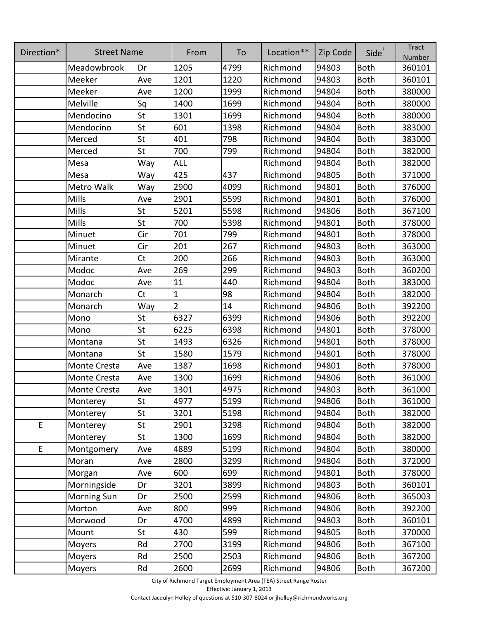| Direction* | <b>Street Name</b>  |     | From           | To   | Location** | Zip Code | Side <sup>+</sup> | <b>Tract</b><br>Number |
|------------|---------------------|-----|----------------|------|------------|----------|-------------------|------------------------|
|            | Meadowbrook         | Dr  | 1205           | 4799 | Richmond   | 94803    | <b>Both</b>       | 360101                 |
|            | Meeker              | Ave | 1201           | 1220 | Richmond   | 94803    | Both              | 360101                 |
|            | Meeker              | Ave | 1200           | 1999 | Richmond   | 94804    | <b>Both</b>       | 380000                 |
|            | Melville            | Sq  | 1400           | 1699 | Richmond   | 94804    | <b>Both</b>       | 380000                 |
|            | Mendocino           | St  | 1301           | 1699 | Richmond   | 94804    | Both              | 380000                 |
|            | Mendocino           | St  | 601            | 1398 | Richmond   | 94804    | <b>Both</b>       | 383000                 |
|            | Merced              | St  | 401            | 798  | Richmond   | 94804    | <b>Both</b>       | 383000                 |
|            | Merced              | St  | 700            | 799  | Richmond   | 94804    | <b>Both</b>       | 382000                 |
|            | Mesa                | Way | <b>ALL</b>     |      | Richmond   | 94804    | <b>Both</b>       | 382000                 |
|            | Mesa                | Way | 425            | 437  | Richmond   | 94805    | <b>Both</b>       | 371000                 |
|            | Metro Walk          | Way | 2900           | 4099 | Richmond   | 94801    | <b>Both</b>       | 376000                 |
|            | Mills               | Ave | 2901           | 5599 | Richmond   | 94801    | <b>Both</b>       | 376000                 |
|            | Mills               | St  | 5201           | 5598 | Richmond   | 94806    | <b>Both</b>       | 367100                 |
|            | Mills               | St  | 700            | 5398 | Richmond   | 94801    | <b>Both</b>       | 378000                 |
|            | Minuet              | Cir | 701            | 799  | Richmond   | 94801    | <b>Both</b>       | 378000                 |
|            | Minuet              | Cir | 201            | 267  | Richmond   | 94803    | <b>Both</b>       | 363000                 |
|            | Mirante             | Ct  | 200            | 266  | Richmond   | 94803    | <b>Both</b>       | 363000                 |
|            | Modoc               | Ave | 269            | 299  | Richmond   | 94803    | <b>Both</b>       | 360200                 |
|            | Modoc               | Ave | 11             | 440  | Richmond   | 94804    | <b>Both</b>       | 383000                 |
|            | Monarch             | Ct  | $\mathbf 1$    | 98   | Richmond   | 94804    | <b>Both</b>       | 382000                 |
|            | Monarch             | Way | $\overline{2}$ | 14   | Richmond   | 94806    | <b>Both</b>       | 392200                 |
|            | Mono                | St  | 6327           | 6399 | Richmond   | 94806    | <b>Both</b>       | 392200                 |
|            | Mono                | St  | 6225           | 6398 | Richmond   | 94801    | <b>Both</b>       | 378000                 |
|            | Montana             | St  | 1493           | 6326 | Richmond   | 94801    | <b>Both</b>       | 378000                 |
|            | Montana             | St  | 1580           | 1579 | Richmond   | 94801    | <b>Both</b>       | 378000                 |
|            | Monte Cresta        | Ave | 1387           | 1698 | Richmond   | 94801    | <b>Both</b>       | 378000                 |
|            | Monte Cresta        | Ave | 1300           | 1699 | Richmond   | 94806    | <b>Both</b>       | 361000                 |
|            | <b>Monte Cresta</b> | Ave | 1301           | 4975 | Richmond   | 94803    | <b>Both</b>       | 361000                 |
|            | Monterey            | St  | 4977           | 5199 | Richmond   | 94806    | <b>Both</b>       | 361000                 |
|            | Monterey            | St  | 3201           | 5198 | Richmond   | 94804    | <b>Both</b>       | 382000                 |
| E          | Monterey            | St  | 2901           | 3298 | Richmond   | 94804    | <b>Both</b>       | 382000                 |
|            | Monterey            | St  | 1300           | 1699 | Richmond   | 94804    | <b>Both</b>       | 382000                 |
| E          | Montgomery          | Ave | 4889           | 5199 | Richmond   | 94804    | <b>Both</b>       | 380000                 |
|            | Moran               | Ave | 2800           | 3299 | Richmond   | 94804    | <b>Both</b>       | 372000                 |
|            | Morgan              | Ave | 600            | 699  | Richmond   | 94801    | <b>Both</b>       | 378000                 |
|            | Morningside         | Dr  | 3201           | 3899 | Richmond   | 94803    | <b>Both</b>       | 360101                 |
|            | <b>Morning Sun</b>  | Dr  | 2500           | 2599 | Richmond   | 94806    | <b>Both</b>       | 365003                 |
|            | Morton              | Ave | 800            | 999  | Richmond   | 94806    | <b>Both</b>       | 392200                 |
|            | Morwood             | Dr  | 4700           | 4899 | Richmond   | 94803    | <b>Both</b>       | 360101                 |
|            | Mount               | St  | 430            | 599  | Richmond   | 94805    | <b>Both</b>       | 370000                 |
|            | Moyers              | Rd  | 2700           | 3199 | Richmond   | 94806    | <b>Both</b>       | 367100                 |
|            | Moyers              | Rd  | 2500           | 2503 | Richmond   | 94806    | <b>Both</b>       | 367200                 |
|            | Moyers              | Rd  | 2600           | 2699 | Richmond   | 94806    | <b>Both</b>       | 367200                 |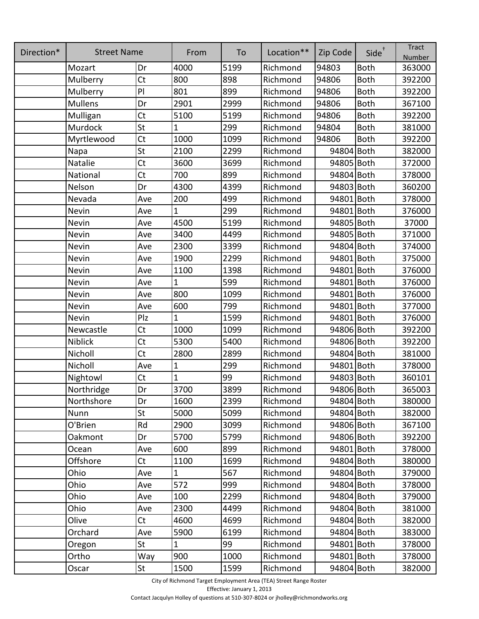| Direction* | <b>Street Name</b> |           | From         | To   | Location** | Zip Code   | Side <sup>+</sup> | <b>Tract</b><br>Number |
|------------|--------------------|-----------|--------------|------|------------|------------|-------------------|------------------------|
|            | Mozart             | Dr        | 4000         | 5199 | Richmond   | 94803      | <b>Both</b>       | 363000                 |
|            | Mulberry           | <b>Ct</b> | 800          | 898  | Richmond   | 94806      | <b>Both</b>       | 392200                 |
|            | Mulberry           | PI        | 801          | 899  | Richmond   | 94806      | <b>Both</b>       | 392200                 |
|            | <b>Mullens</b>     | Dr        | 2901         | 2999 | Richmond   | 94806      | <b>Both</b>       | 367100                 |
|            | Mulligan           | Ct        | 5100         | 5199 | Richmond   | 94806      | <b>Both</b>       | 392200                 |
|            | Murdock            | St        | 1            | 299  | Richmond   | 94804      | <b>Both</b>       | 381000                 |
|            | Myrtlewood         | Ct        | 1000         | 1099 | Richmond   | 94806      | <b>Both</b>       | 392200                 |
|            | Napa               | St        | 2100         | 2299 | Richmond   | 94804 Both |                   | 382000                 |
|            | Natalie            | <b>Ct</b> | 3600         | 3699 | Richmond   | 94805 Both |                   | 372000                 |
|            | National           | Ct        | 700          | 899  | Richmond   | 94804 Both |                   | 378000                 |
|            | Nelson             | Dr        | 4300         | 4399 | Richmond   | 94803 Both |                   | 360200                 |
|            | Nevada             | Ave       | 200          | 499  | Richmond   | 94801 Both |                   | 378000                 |
|            | Nevin              | Ave       | 1            | 299  | Richmond   | 94801 Both |                   | 376000                 |
|            | Nevin              | Ave       | 4500         | 5199 | Richmond   | 94805 Both |                   | 37000                  |
|            | Nevin              | Ave       | 3400         | 4499 | Richmond   | 94805 Both |                   | 371000                 |
|            | Nevin              | Ave       | 2300         | 3399 | Richmond   | 94804 Both |                   | 374000                 |
|            | Nevin              | Ave       | 1900         | 2299 | Richmond   | 94801 Both |                   | 375000                 |
|            | Nevin              | Ave       | 1100         | 1398 | Richmond   | 94801 Both |                   | 376000                 |
|            | Nevin              | Ave       | $\mathbf{1}$ | 599  | Richmond   | 94801 Both |                   | 376000                 |
|            | Nevin              | Ave       | 800          | 1099 | Richmond   | 94801 Both |                   | 376000                 |
|            | Nevin              | Ave       | 600          | 799  | Richmond   | 94801 Both |                   | 377000                 |
|            | Nevin              | Plz       | $\mathbf{1}$ | 1599 | Richmond   | 94801 Both |                   | 376000                 |
|            | Newcastle          | Ct        | 1000         | 1099 | Richmond   | 94806 Both |                   | 392200                 |
|            | Niblick            | Ct        | 5300         | 5400 | Richmond   | 94806 Both |                   | 392200                 |
|            | Nicholl            | Ct        | 2800         | 2899 | Richmond   | 94804 Both |                   | 381000                 |
|            | Nicholl            | Ave       | $\mathbf 1$  | 299  | Richmond   | 94801 Both |                   | 378000                 |
|            | Nightowl           | Ct        | $\mathbf{1}$ | 99   | Richmond   | 94803 Both |                   | 360101                 |
|            | Northridge         | Dr        | 3700         | 3899 | Richmond   | 94806 Both |                   | 365003                 |
|            | Northshore         | Dr        | 1600         | 2399 | Richmond   | 94804 Both |                   | 380000                 |
|            | Nunn               | St        | 5000         | 5099 | Richmond   | 94804 Both |                   | 382000                 |
|            | O'Brien            | Rd        | 2900         | 3099 | Richmond   | 94806 Both |                   | 367100                 |
|            | Oakmont            | Dr        | 5700         | 5799 | Richmond   | 94806 Both |                   | 392200                 |
|            | Ocean              | Ave       | 600          | 899  | Richmond   | 94801 Both |                   | 378000                 |
|            | Offshore           | <b>Ct</b> | 1100         | 1699 | Richmond   | 94804 Both |                   | 380000                 |
|            | Ohio               | Ave       | $\mathbf{1}$ | 567  | Richmond   | 94804 Both |                   | 379000                 |
|            | Ohio               | Ave       | 572          | 999  | Richmond   | 94804 Both |                   | 378000                 |
|            | Ohio               | Ave       | 100          | 2299 | Richmond   | 94804 Both |                   | 379000                 |
|            | Ohio               | Ave       | 2300         | 4499 | Richmond   | 94804 Both |                   | 381000                 |
|            | Olive              | Ct        | 4600         | 4699 | Richmond   | 94804 Both |                   | 382000                 |
|            | Orchard            | Ave       | 5900         | 6199 | Richmond   | 94804 Both |                   | 383000                 |
|            | Oregon             | St        | $\mathbf{1}$ | 99   | Richmond   | 94801 Both |                   | 378000                 |
|            | Ortho              | Way       | 900          | 1000 | Richmond   | 94801 Both |                   | 378000                 |
|            | Oscar              | St        | 1500         | 1599 | Richmond   | 94804 Both |                   | 382000                 |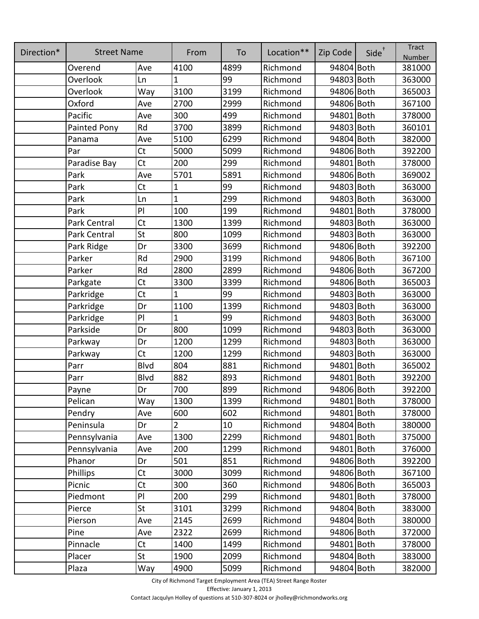| Direction* | <b>Street Name</b>  |             | From           | To   | Location** | Zip Code   | Side <sup>+</sup> | <b>Tract</b><br>Number |
|------------|---------------------|-------------|----------------|------|------------|------------|-------------------|------------------------|
|            | Overend             | Ave         | 4100           | 4899 | Richmond   | 94804 Both |                   | 381000                 |
|            | Overlook            | Ln          | $\mathbf{1}$   | 99   | Richmond   | 94803 Both |                   | 363000                 |
|            | Overlook            | Way         | 3100           | 3199 | Richmond   | 94806 Both |                   | 365003                 |
|            | Oxford              | Ave         | 2700           | 2999 | Richmond   | 94806 Both |                   | 367100                 |
|            | Pacific             | Ave         | 300            | 499  | Richmond   | 94801 Both |                   | 378000                 |
|            | Painted Pony        | Rd          | 3700           | 3899 | Richmond   | 94803 Both |                   | 360101                 |
|            | Panama              | Ave         | 5100           | 6299 | Richmond   | 94804 Both |                   | 382000                 |
|            | Par                 | <b>Ct</b>   | 5000           | 5099 | Richmond   | 94806 Both |                   | 392200                 |
|            | Paradise Bay        | Ct          | 200            | 299  | Richmond   | 94801 Both |                   | 378000                 |
|            | Park                | Ave         | 5701           | 5891 | Richmond   | 94806 Both |                   | 369002                 |
|            | Park                | <b>Ct</b>   | $\mathbf{1}$   | 99   | Richmond   | 94803 Both |                   | 363000                 |
|            | Park                | Ln          | $\mathbf{1}$   | 299  | Richmond   | 94803 Both |                   | 363000                 |
|            | Park                | PI          | 100            | 199  | Richmond   | 94801 Both |                   | 378000                 |
|            | <b>Park Central</b> | <b>Ct</b>   | 1300           | 1399 | Richmond   | 94803 Both |                   | 363000                 |
|            | Park Central        | St          | 800            | 1099 | Richmond   | 94803 Both |                   | 363000                 |
|            | Park Ridge          | Dr          | 3300           | 3699 | Richmond   | 94806 Both |                   | 392200                 |
|            | Parker              | Rd          | 2900           | 3199 | Richmond   | 94806 Both |                   | 367100                 |
|            | Parker              | Rd          | 2800           | 2899 | Richmond   | 94806 Both |                   | 367200                 |
|            | Parkgate            | <b>Ct</b>   | 3300           | 3399 | Richmond   | 94806 Both |                   | 365003                 |
|            | Parkridge           | Ct          | $\mathbf{1}$   | 99   | Richmond   | 94803 Both |                   | 363000                 |
|            | Parkridge           | Dr          | 1100           | 1399 | Richmond   | 94803 Both |                   | 363000                 |
|            | Parkridge           | PI          | $\mathbf{1}$   | 99   | Richmond   | 94803 Both |                   | 363000                 |
|            | Parkside            | Dr          | 800            | 1099 | Richmond   | 94803 Both |                   | 363000                 |
|            | Parkway             | Dr          | 1200           | 1299 | Richmond   | 94803 Both |                   | 363000                 |
|            | Parkway             | Ct          | 1200           | 1299 | Richmond   | 94803 Both |                   | 363000                 |
|            | Parr                | <b>Blvd</b> | 804            | 881  | Richmond   | 94801 Both |                   | 365002                 |
|            | Parr                | <b>Blvd</b> | 882            | 893  | Richmond   | 94801 Both |                   | 392200                 |
|            | Payne               | Dr          | 700            | 899  | Richmond   | 94806 Both |                   | 392200                 |
|            | Pelican             | Way         | 1300           | 1399 | Richmond   | 94801 Both |                   | 378000                 |
|            | Pendry              | Ave         | 600            | 602  | Richmond   | 94801 Both |                   | 378000                 |
|            | Peninsula           | Dr          | $\overline{2}$ | 10   | Richmond   | 94804 Both |                   | 380000                 |
|            | Pennsylvania        | Ave         | 1300           | 2299 | Richmond   | 94801 Both |                   | 375000                 |
|            | Pennsylvania        | Ave         | 200            | 1299 | Richmond   | 94801 Both |                   | 376000                 |
|            | Phanor              | Dr          | 501            | 851  | Richmond   | 94806 Both |                   | 392200                 |
|            | <b>Phillips</b>     | Ct          | 3000           | 3099 | Richmond   | 94806 Both |                   | 367100                 |
|            | Picnic              | Ct          | 300            | 360  | Richmond   | 94806 Both |                   | 365003                 |
|            | Piedmont            | PI          | 200            | 299  | Richmond   | 94801 Both |                   | 378000                 |
|            | Pierce              | St          | 3101           | 3299 | Richmond   | 94804 Both |                   | 383000                 |
|            | Pierson             | Ave         | 2145           | 2699 | Richmond   | 94804 Both |                   | 380000                 |
|            | Pine                | Ave         | 2322           | 2699 | Richmond   | 94806 Both |                   | 372000                 |
|            | Pinnacle            | Ct          | 1400           | 1499 | Richmond   | 94801 Both |                   | 378000                 |
|            | Placer              | St          | 1900           | 2099 | Richmond   | 94804 Both |                   | 383000                 |
|            | Plaza               | Way         | 4900           | 5099 | Richmond   | 94804 Both |                   | 382000                 |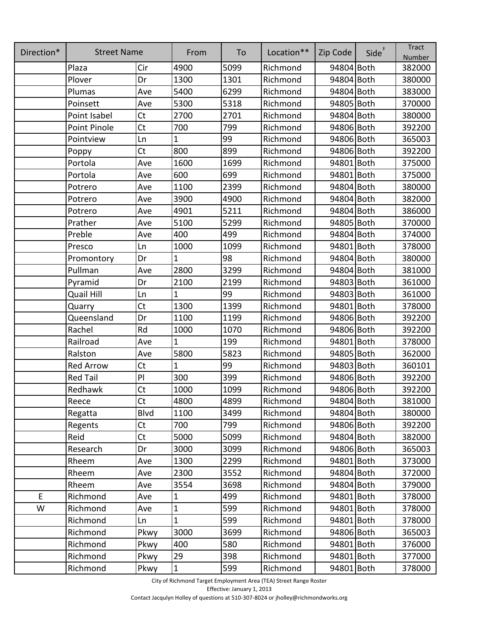| Direction* | <b>Street Name</b> |             | From         | To   | Location** | Zip Code   | Side <sup>+</sup> | <b>Tract</b><br>Number |
|------------|--------------------|-------------|--------------|------|------------|------------|-------------------|------------------------|
|            | Plaza              | Cir         | 4900         | 5099 | Richmond   | 94804 Both |                   | 382000                 |
|            | Plover             | Dr          | 1300         | 1301 | Richmond   | 94804 Both |                   | 380000                 |
|            | Plumas             | Ave         | 5400         | 6299 | Richmond   | 94804 Both |                   | 383000                 |
|            | Poinsett           | Ave         | 5300         | 5318 | Richmond   | 94805 Both |                   | 370000                 |
|            | Point Isabel       | <b>Ct</b>   | 2700         | 2701 | Richmond   | 94804 Both |                   | 380000                 |
|            | Point Pinole       | Ct          | 700          | 799  | Richmond   | 94806 Both |                   | 392200                 |
|            | Pointview          | Ln          | 1            | 99   | Richmond   | 94806 Both |                   | 365003                 |
|            | Poppy              | Ct          | 800          | 899  | Richmond   | 94806 Both |                   | 392200                 |
|            | Portola            | Ave         | 1600         | 1699 | Richmond   | 94801 Both |                   | 375000                 |
|            | Portola            | Ave         | 600          | 699  | Richmond   | 94801 Both |                   | 375000                 |
|            | Potrero            | Ave         | 1100         | 2399 | Richmond   | 94804 Both |                   | 380000                 |
|            | Potrero            | Ave         | 3900         | 4900 | Richmond   | 94804 Both |                   | 382000                 |
|            | Potrero            | Ave         | 4901         | 5211 | Richmond   | 94804 Both |                   | 386000                 |
|            | Prather            | Ave         | 5100         | 5299 | Richmond   | 94805 Both |                   | 370000                 |
|            | Preble             | Ave         | 400          | 499  | Richmond   | 94804 Both |                   | 374000                 |
|            | Presco             | Ln          | 1000         | 1099 | Richmond   | 94801 Both |                   | 378000                 |
|            | Promontory         | Dr          | 1            | 98   | Richmond   | 94804 Both |                   | 380000                 |
|            | Pullman            | Ave         | 2800         | 3299 | Richmond   | 94804 Both |                   | 381000                 |
|            | Pyramid            | Dr          | 2100         | 2199 | Richmond   | 94803 Both |                   | 361000                 |
|            | <b>Quail Hill</b>  | Ln          | 1            | 99   | Richmond   | 94803 Both |                   | 361000                 |
|            | Quarry             | <b>Ct</b>   | 1300         | 1399 | Richmond   | 94801 Both |                   | 378000                 |
|            | Queensland         | Dr          | 1100         | 1199 | Richmond   | 94806 Both |                   | 392200                 |
|            | Rachel             | Rd          | 1000         | 1070 | Richmond   | 94806 Both |                   | 392200                 |
|            | Railroad           | Ave         | 1            | 199  | Richmond   | 94801 Both |                   | 378000                 |
|            | Ralston            | Ave         | 5800         | 5823 | Richmond   | 94805 Both |                   | 362000                 |
|            | <b>Red Arrow</b>   | Ct          | 1            | 99   | Richmond   | 94803 Both |                   | 360101                 |
|            | <b>Red Tail</b>    | PI          | 300          | 399  | Richmond   | 94806 Both |                   | 392200                 |
|            | Redhawk            | Ct          | 1000         | 1099 | Richmond   | 94806 Both |                   | 392200                 |
|            | Reece              | Ct          | 4800         | 4899 | Richmond   | 94804 Both |                   | 381000                 |
|            | Regatta            | <b>Blvd</b> | 1100         | 3499 | Richmond   | 94804 Both |                   | 380000                 |
|            | Regents            | <b>Ct</b>   | 700          | 799  | Richmond   | 94806 Both |                   | 392200                 |
|            | Reid               | <b>Ct</b>   | 5000         | 5099 | Richmond   | 94804 Both |                   | 382000                 |
|            | Research           | Dr          | 3000         | 3099 | Richmond   | 94806 Both |                   | 365003                 |
|            | Rheem              | Ave         | 1300         | 2299 | Richmond   | 94801 Both |                   | 373000                 |
|            | Rheem              | Ave         | 2300         | 3552 | Richmond   | 94804 Both |                   | 372000                 |
|            | Rheem              | Ave         | 3554         | 3698 | Richmond   | 94804 Both |                   | 379000                 |
| E          | Richmond           | Ave         | 1            | 499  | Richmond   | 94801 Both |                   | 378000                 |
| W          | Richmond           | Ave         | $\mathbf{1}$ | 599  | Richmond   | 94801 Both |                   | 378000                 |
|            | Richmond           | Ln          | 1            | 599  | Richmond   | 94801 Both |                   | 378000                 |
|            | Richmond           | Pkwy        | 3000         | 3699 | Richmond   | 94806 Both |                   | 365003                 |
|            | Richmond           | Pkwy        | 400          | 580  | Richmond   | 94801 Both |                   | 376000                 |
|            | Richmond           | Pkwy        | 29           | 398  | Richmond   | 94801 Both |                   | 377000                 |
|            | Richmond           | Pkwy        | $\mathbf{1}$ | 599  | Richmond   | 94801 Both |                   | 378000                 |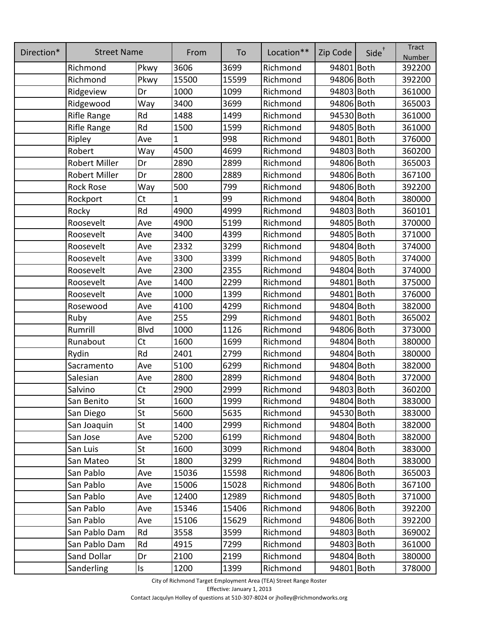| Direction* | <b>Street Name</b>   |           | From  | To    | Location** | Zip Code   | $Side^{\dagger}$ | <b>Tract</b><br>Number |
|------------|----------------------|-----------|-------|-------|------------|------------|------------------|------------------------|
|            | Richmond             | Pkwy      | 3606  | 3699  | Richmond   | 94801 Both |                  | 392200                 |
|            | Richmond             | Pkwy      | 15500 | 15599 | Richmond   | 94806 Both |                  | 392200                 |
|            | Ridgeview            | Dr        | 1000  | 1099  | Richmond   | 94803 Both |                  | 361000                 |
|            | Ridgewood            | Way       | 3400  | 3699  | Richmond   | 94806 Both |                  | 365003                 |
|            | Rifle Range          | Rd        | 1488  | 1499  | Richmond   | 94530 Both |                  | 361000                 |
|            | Rifle Range          | Rd        | 1500  | 1599  | Richmond   | 94805 Both |                  | 361000                 |
|            | Ripley               | Ave       | 1     | 998   | Richmond   | 94801 Both |                  | 376000                 |
|            | Robert               | Way       | 4500  | 4699  | Richmond   | 94803 Both |                  | 360200                 |
|            | Robert Miller        | Dr        | 2890  | 2899  | Richmond   | 94806 Both |                  | 365003                 |
|            | <b>Robert Miller</b> | Dr        | 2800  | 2889  | Richmond   | 94806 Both |                  | 367100                 |
|            | <b>Rock Rose</b>     | Way       | 500   | 799   | Richmond   | 94806 Both |                  | 392200                 |
|            | Rockport             | <b>Ct</b> | 1     | 99    | Richmond   | 94804 Both |                  | 380000                 |
|            | Rocky                | Rd        | 4900  | 4999  | Richmond   | 94803 Both |                  | 360101                 |
|            | Roosevelt            | Ave       | 4900  | 5199  | Richmond   | 94805 Both |                  | 370000                 |
|            | Roosevelt            | Ave       | 3400  | 4399  | Richmond   | 94805 Both |                  | 371000                 |
|            | Roosevelt            | Ave       | 2332  | 3299  | Richmond   | 94804 Both |                  | 374000                 |
|            | Roosevelt            | Ave       | 3300  | 3399  | Richmond   | 94805 Both |                  | 374000                 |
|            | Roosevelt            | Ave       | 2300  | 2355  | Richmond   | 94804 Both |                  | 374000                 |
|            | Roosevelt            | Ave       | 1400  | 2299  | Richmond   | 94801 Both |                  | 375000                 |
|            | Roosevelt            | Ave       | 1000  | 1399  | Richmond   | 94801 Both |                  | 376000                 |
|            | Rosewood             | Ave       | 4100  | 4299  | Richmond   | 94804 Both |                  | 382000                 |
|            | Ruby                 | Ave       | 255   | 299   | Richmond   | 94801 Both |                  | 365002                 |
|            | Rumrill              | Blvd      | 1000  | 1126  | Richmond   | 94806 Both |                  | 373000                 |
|            | Runabout             | <b>Ct</b> | 1600  | 1699  | Richmond   | 94804 Both |                  | 380000                 |
|            | Rydin                | Rd        | 2401  | 2799  | Richmond   | 94804 Both |                  | 380000                 |
|            | Sacramento           | Ave       | 5100  | 6299  | Richmond   | 94804 Both |                  | 382000                 |
|            | Salesian             | Ave       | 2800  | 2899  | Richmond   | 94804 Both |                  | 372000                 |
|            | Salvino              | Ct        | 2900  | 2999  | Richmond   | 94803 Both |                  | 360200                 |
|            | San Benito           | St        | 1600  | 1999  | Richmond   | 94804 Both |                  | 383000                 |
|            | San Diego            | St        | 5600  | 5635  | Richmond   | 94530 Both |                  | 383000                 |
|            | San Joaquin          | St        | 1400  | 2999  | Richmond   | 94804 Both |                  | 382000                 |
|            | San Jose             | Ave       | 5200  | 6199  | Richmond   | 94804 Both |                  | 382000                 |
|            | San Luis             | St        | 1600  | 3099  | Richmond   | 94804 Both |                  | 383000                 |
|            | San Mateo            | St        | 1800  | 3299  | Richmond   | 94804 Both |                  | 383000                 |
|            | San Pablo            | Ave       | 15036 | 15598 | Richmond   | 94806 Both |                  | 365003                 |
|            | San Pablo            | Ave       | 15006 | 15028 | Richmond   | 94806 Both |                  | 367100                 |
|            | San Pablo            | Ave       | 12400 | 12989 | Richmond   | 94805 Both |                  | 371000                 |
|            | San Pablo            | Ave       | 15346 | 15406 | Richmond   | 94806 Both |                  | 392200                 |
|            | San Pablo            | Ave       | 15106 | 15629 | Richmond   | 94806 Both |                  | 392200                 |
|            | San Pablo Dam        | Rd        | 3558  | 3599  | Richmond   | 94803 Both |                  | 369002                 |
|            | San Pablo Dam        | Rd        | 4915  | 7299  | Richmond   | 94803 Both |                  | 361000                 |
|            | Sand Dollar          | Dr        | 2100  | 2199  | Richmond   | 94804 Both |                  | 380000                 |
|            | Sanderling           | Is        | 1200  | 1399  | Richmond   | 94801 Both |                  | 378000                 |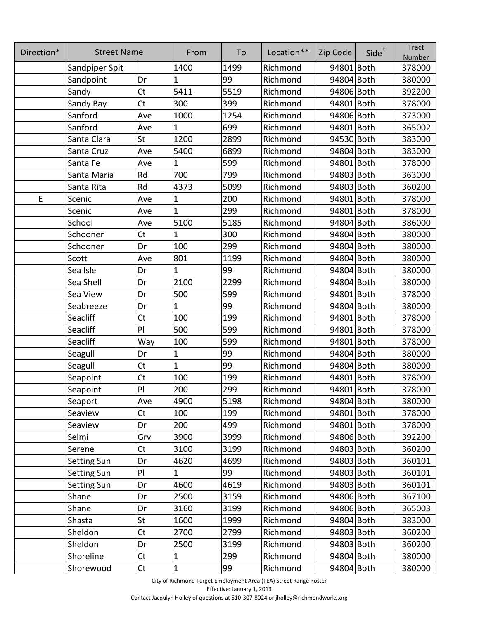| Direction* | <b>Street Name</b> |                | From         | To   | Location** | Zip Code   | Side <sup>+</sup> | <b>Tract</b><br>Number |
|------------|--------------------|----------------|--------------|------|------------|------------|-------------------|------------------------|
|            | Sandpiper Spit     |                | 1400         | 1499 | Richmond   | 94801 Both |                   | 378000                 |
|            | Sandpoint          | Dr             | 1            | 99   | Richmond   | 94804 Both |                   | 380000                 |
|            | Sandy              | Ct             | 5411         | 5519 | Richmond   | 94806 Both |                   | 392200                 |
|            | Sandy Bay          | <b>Ct</b>      | 300          | 399  | Richmond   | 94801 Both |                   | 378000                 |
|            | Sanford            | Ave            | 1000         | 1254 | Richmond   | 94806 Both |                   | 373000                 |
|            | Sanford            | Ave            | 1            | 699  | Richmond   | 94801 Both |                   | 365002                 |
|            | Santa Clara        | St             | 1200         | 2899 | Richmond   | 94530 Both |                   | 383000                 |
|            | Santa Cruz         | Ave            | 5400         | 6899 | Richmond   | 94804 Both |                   | 383000                 |
|            | Santa Fe           | Ave            | $\mathbf{1}$ | 599  | Richmond   | 94801 Both |                   | 378000                 |
|            | Santa Maria        | Rd             | 700          | 799  | Richmond   | 94803 Both |                   | 363000                 |
|            | Santa Rita         | Rd             | 4373         | 5099 | Richmond   | 94803 Both |                   | 360200                 |
| E          | Scenic             | Ave            | 1            | 200  | Richmond   | 94801 Both |                   | 378000                 |
|            | Scenic             | Ave            | $\mathbf{1}$ | 299  | Richmond   | 94801 Both |                   | 378000                 |
|            | School             | Ave            | 5100         | 5185 | Richmond   | 94804 Both |                   | 386000                 |
|            | Schooner           | Ct             | 1            | 300  | Richmond   | 94804 Both |                   | 380000                 |
|            | Schooner           | Dr             | 100          | 299  | Richmond   | 94804 Both |                   | 380000                 |
|            | Scott              | Ave            | 801          | 1199 | Richmond   | 94804 Both |                   | 380000                 |
|            | Sea Isle           | Dr             | 1            | 99   | Richmond   | 94804 Both |                   | 380000                 |
|            | Sea Shell          | Dr             | 2100         | 2299 | Richmond   | 94804 Both |                   | 380000                 |
|            | Sea View           | Dr             | 500          | 599  | Richmond   | 94801 Both |                   | 378000                 |
|            | Seabreeze          | Dr             | 1            | 99   | Richmond   | 94804 Both |                   | 380000                 |
|            | Seacliff           | Ct             | 100          | 199  | Richmond   | 94801 Both |                   | 378000                 |
|            | Seacliff           | PI             | 500          | 599  | Richmond   | 94801 Both |                   | 378000                 |
|            | Seacliff           | Way            | 100          | 599  | Richmond   | 94801 Both |                   | 378000                 |
|            | Seagull            | Dr             | $\mathbf 1$  | 99   | Richmond   | 94804 Both |                   | 380000                 |
|            | Seagull            | <b>Ct</b>      | 1            | 99   | Richmond   | 94804 Both |                   | 380000                 |
|            | Seapoint           | Ct             | 100          | 199  | Richmond   | 94801 Both |                   | 378000                 |
|            | Seapoint           | PI             | 200          | 299  | Richmond   | 94801 Both |                   | 378000                 |
|            | Seaport            | Ave            | 4900         | 5198 | Richmond   | 94804 Both |                   | 380000                 |
|            | Seaview            | Ct             | 100          | 199  | Richmond   | 94801 Both |                   | 378000                 |
|            | Seaview            | Dr             | 200          | 499  | Richmond   | 94801 Both |                   | 378000                 |
|            | Selmi              | Grv            | 3900         | 3999 | Richmond   | 94806 Both |                   | 392200                 |
|            | Serene             | <b>Ct</b>      | 3100         | 3199 | Richmond   | 94803 Both |                   | 360200                 |
|            | <b>Setting Sun</b> | Dr             | 4620         | 4699 | Richmond   | 94803 Both |                   | 360101                 |
|            | <b>Setting Sun</b> | PI             | 1            | 99   | Richmond   | 94803 Both |                   | 360101                 |
|            | <b>Setting Sun</b> | Dr             | 4600         | 4619 | Richmond   | 94803 Both |                   | 360101                 |
|            | Shane              | Dr             | 2500         | 3159 | Richmond   | 94806 Both |                   | 367100                 |
|            | Shane              | Dr             | 3160         | 3199 | Richmond   | 94806 Both |                   | 365003                 |
|            | Shasta             | St             | 1600         | 1999 | Richmond   | 94804 Both |                   | 383000                 |
|            | Sheldon            | <b>Ct</b>      | 2700         | 2799 | Richmond   | 94803 Both |                   | 360200                 |
|            | Sheldon            | Dr             | 2500         | 3199 | Richmond   | 94803 Both |                   | 360200                 |
|            | Shoreline          | Ct             | $\mathbf 1$  | 299  | Richmond   | 94804 Both |                   | 380000                 |
|            | Shorewood          | C <sub>t</sub> | $\vert$ 1    | 99   | Richmond   | 94804 Both |                   | 380000                 |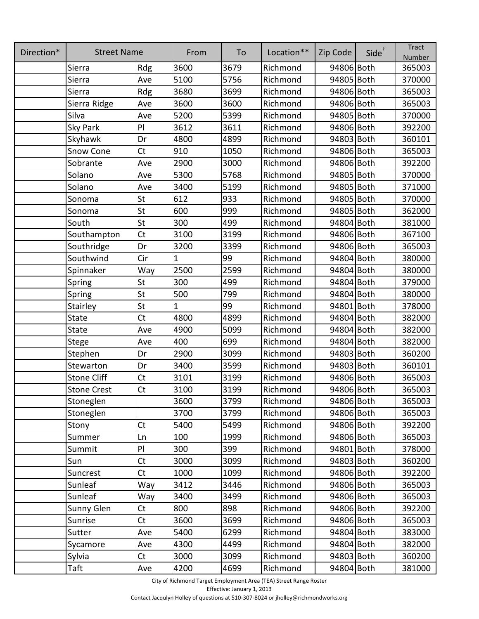| Direction* | <b>Street Name</b> |           | From | To   | Location** | Zip Code   | $Side^{\dagger}$ | <b>Tract</b><br>Number |
|------------|--------------------|-----------|------|------|------------|------------|------------------|------------------------|
|            | Sierra             | Rdg       | 3600 | 3679 | Richmond   | 94806 Both |                  | 365003                 |
|            | Sierra             | Ave       | 5100 | 5756 | Richmond   | 94805 Both |                  | 370000                 |
|            | Sierra             | Rdg       | 3680 | 3699 | Richmond   | 94806 Both |                  | 365003                 |
|            | Sierra Ridge       | Ave       | 3600 | 3600 | Richmond   | 94806 Both |                  | 365003                 |
|            | Silva              | Ave       | 5200 | 5399 | Richmond   | 94805 Both |                  | 370000                 |
|            | Sky Park           | PI        | 3612 | 3611 | Richmond   | 94806 Both |                  | 392200                 |
|            | Skyhawk            | Dr        | 4800 | 4899 | Richmond   | 94803 Both |                  | 360101                 |
|            | Snow Cone          | Ct        | 910  | 1050 | Richmond   | 94806 Both |                  | 365003                 |
|            | Sobrante           | Ave       | 2900 | 3000 | Richmond   | 94806 Both |                  | 392200                 |
|            | Solano             | Ave       | 5300 | 5768 | Richmond   | 94805 Both |                  | 370000                 |
|            | Solano             | Ave       | 3400 | 5199 | Richmond   | 94805 Both |                  | 371000                 |
|            | Sonoma             | St        | 612  | 933  | Richmond   | 94805 Both |                  | 370000                 |
|            | Sonoma             | St        | 600  | 999  | Richmond   | 94805 Both |                  | 362000                 |
|            | South              | St        | 300  | 499  | Richmond   | 94804 Both |                  | 381000                 |
|            | Southampton        | Ct        | 3100 | 3199 | Richmond   | 94806 Both |                  | 367100                 |
|            | Southridge         | Dr        | 3200 | 3399 | Richmond   | 94806 Both |                  | 365003                 |
|            | Southwind          | Cir       | 1    | 99   | Richmond   | 94804 Both |                  | 380000                 |
|            | Spinnaker          | Way       | 2500 | 2599 | Richmond   | 94804 Both |                  | 380000                 |
|            | Spring             | St        | 300  | 499  | Richmond   | 94804 Both |                  | 379000                 |
|            | Spring             | St        | 500  | 799  | Richmond   | 94804 Both |                  | 380000                 |
|            | Stairley           | St        | 1    | 99   | Richmond   | 94801 Both |                  | 378000                 |
|            | State              | Ct        | 4800 | 4899 | Richmond   | 94804 Both |                  | 382000                 |
|            | State              | Ave       | 4900 | 5099 | Richmond   | 94804 Both |                  | 382000                 |
|            | Stege              | Ave       | 400  | 699  | Richmond   | 94804 Both |                  | 382000                 |
|            | Stephen            | Dr        | 2900 | 3099 | Richmond   | 94803 Both |                  | 360200                 |
|            | Stewarton          | Dr        | 3400 | 3599 | Richmond   | 94803 Both |                  | 360101                 |
|            | <b>Stone Cliff</b> | Ct        | 3101 | 3199 | Richmond   | 94806 Both |                  | 365003                 |
|            | <b>Stone Crest</b> | Ct        | 3100 | 3199 | Richmond   | 94806 Both |                  | 365003                 |
|            | Stoneglen          |           | 3600 | 3799 | Richmond   | 94806 Both |                  | 365003                 |
|            | Stoneglen          |           | 3700 | 3799 | Richmond   | 94806 Both |                  | 365003                 |
|            | Stony              | Ct        | 5400 | 5499 | Richmond   | 94806 Both |                  | 392200                 |
|            | Summer             | Ln        | 100  | 1999 | Richmond   | 94806 Both |                  | 365003                 |
|            | Summit             | PI        | 300  | 399  | Richmond   | 94801 Both |                  | 378000                 |
|            | Sun                | Ct        | 3000 | 3099 | Richmond   | 94803 Both |                  | 360200                 |
|            | Suncrest           | Ct        | 1000 | 1099 | Richmond   | 94806 Both |                  | 392200                 |
|            | Sunleaf            | Way       | 3412 | 3446 | Richmond   | 94806 Both |                  | 365003                 |
|            | Sunleaf            | Way       | 3400 | 3499 | Richmond   | 94806 Both |                  | 365003                 |
|            | Sunny Glen         | <b>Ct</b> | 800  | 898  | Richmond   | 94806 Both |                  | 392200                 |
|            | Sunrise            | Ct        | 3600 | 3699 | Richmond   | 94806 Both |                  | 365003                 |
|            | Sutter             | Ave       | 5400 | 6299 | Richmond   | 94804 Both |                  | 383000                 |
|            | Sycamore           | Ave       | 4300 | 4499 | Richmond   | 94804 Both |                  | 382000                 |
|            | Sylvia             | <b>Ct</b> | 3000 | 3099 | Richmond   | 94803 Both |                  | 360200                 |
|            | Taft               | Ave       | 4200 | 4699 | Richmond   | 94804 Both |                  | 381000                 |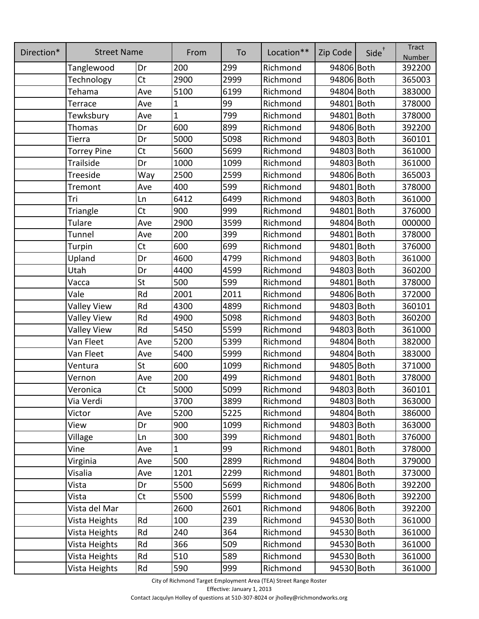| Direction* | <b>Street Name</b> |           | From | To   | Location** | Zip Code   | Side <sup>+</sup> | <b>Tract</b><br>Number |
|------------|--------------------|-----------|------|------|------------|------------|-------------------|------------------------|
|            | Tanglewood         | Dr        | 200  | 299  | Richmond   | 94806 Both |                   | 392200                 |
|            | Technology         | <b>Ct</b> | 2900 | 2999 | Richmond   | 94806 Both |                   | 365003                 |
|            | Tehama             | Ave       | 5100 | 6199 | Richmond   | 94804 Both |                   | 383000                 |
|            | Terrace            | Ave       | 1    | 99   | Richmond   | 94801 Both |                   | 378000                 |
|            | Tewksbury          | Ave       | 1    | 799  | Richmond   | 94801 Both |                   | 378000                 |
|            | Thomas             | Dr        | 600  | 899  | Richmond   | 94806 Both |                   | 392200                 |
|            | Tierra             | Dr        | 5000 | 5098 | Richmond   | 94803 Both |                   | 360101                 |
|            | <b>Torrey Pine</b> | <b>Ct</b> | 5600 | 5699 | Richmond   | 94803 Both |                   | 361000                 |
|            | Trailside          | Dr        | 1000 | 1099 | Richmond   | 94803 Both |                   | 361000                 |
|            | Treeside           | Way       | 2500 | 2599 | Richmond   | 94806 Both |                   | 365003                 |
|            | Tremont            | Ave       | 400  | 599  | Richmond   | 94801 Both |                   | 378000                 |
|            | Tri                | Ln        | 6412 | 6499 | Richmond   | 94803 Both |                   | 361000                 |
|            | Triangle           | Ct        | 900  | 999  | Richmond   | 94801 Both |                   | 376000                 |
|            | Tulare             | Ave       | 2900 | 3599 | Richmond   | 94804 Both |                   | 000000                 |
|            | Tunnel             | Ave       | 200  | 399  | Richmond   | 94801 Both |                   | 378000                 |
|            | Turpin             | Ct        | 600  | 699  | Richmond   | 94801 Both |                   | 376000                 |
|            | Upland             | Dr        | 4600 | 4799 | Richmond   | 94803 Both |                   | 361000                 |
|            | Utah               | Dr        | 4400 | 4599 | Richmond   | 94803 Both |                   | 360200                 |
|            | Vacca              | St        | 500  | 599  | Richmond   | 94801 Both |                   | 378000                 |
|            | Vale               | Rd        | 2001 | 2011 | Richmond   | 94806 Both |                   | 372000                 |
|            | <b>Valley View</b> | Rd        | 4300 | 4899 | Richmond   | 94803 Both |                   | 360101                 |
|            | <b>Valley View</b> | Rd        | 4900 | 5098 | Richmond   | 94803 Both |                   | 360200                 |
|            | <b>Valley View</b> | Rd        | 5450 | 5599 | Richmond   | 94803 Both |                   | 361000                 |
|            | Van Fleet          | Ave       | 5200 | 5399 | Richmond   | 94804 Both |                   | 382000                 |
|            | Van Fleet          | Ave       | 5400 | 5999 | Richmond   | 94804 Both |                   | 383000                 |
|            | Ventura            | St        | 600  | 1099 | Richmond   | 94805 Both |                   | 371000                 |
|            | Vernon             | Ave       | 200  | 499  | Richmond   | 94801 Both |                   | 378000                 |
|            | Veronica           | <b>Ct</b> | 5000 | 5099 | Richmond   | 94803 Both |                   | 360101                 |
|            | Via Verdi          |           | 3700 | 3899 | Richmond   | 94803 Both |                   | 363000                 |
|            | Victor             | Ave       | 5200 | 5225 | Richmond   | 94804 Both |                   | 386000                 |
|            | View               | Dr        | 900  | 1099 | Richmond   | 94803 Both |                   | 363000                 |
|            | Village            | Ln        | 300  | 399  | Richmond   | 94801 Both |                   | 376000                 |
|            | Vine               | Ave       | 1    | 99   | Richmond   | 94801 Both |                   | 378000                 |
|            | Virginia           | Ave       | 500  | 2899 | Richmond   | 94804 Both |                   | 379000                 |
|            | Visalia            | Ave       | 1201 | 2299 | Richmond   | 94801 Both |                   | 373000                 |
|            | Vista              | Dr        | 5500 | 5699 | Richmond   | 94806 Both |                   | 392200                 |
|            | Vista              | <b>Ct</b> | 5500 | 5599 | Richmond   | 94806 Both |                   | 392200                 |
|            | Vista del Mar      |           | 2600 | 2601 | Richmond   | 94806 Both |                   | 392200                 |
|            | Vista Heights      | Rd        | 100  | 239  | Richmond   | 94530 Both |                   | 361000                 |
|            | Vista Heights      | Rd        | 240  | 364  | Richmond   | 94530 Both |                   | 361000                 |
|            | Vista Heights      | Rd        | 366  | 509  | Richmond   | 94530 Both |                   | 361000                 |
|            | Vista Heights      | Rd        | 510  | 589  | Richmond   | 94530 Both |                   | 361000                 |
|            | Vista Heights      | Rd        | 590  | 999  | Richmond   | 94530 Both |                   | 361000                 |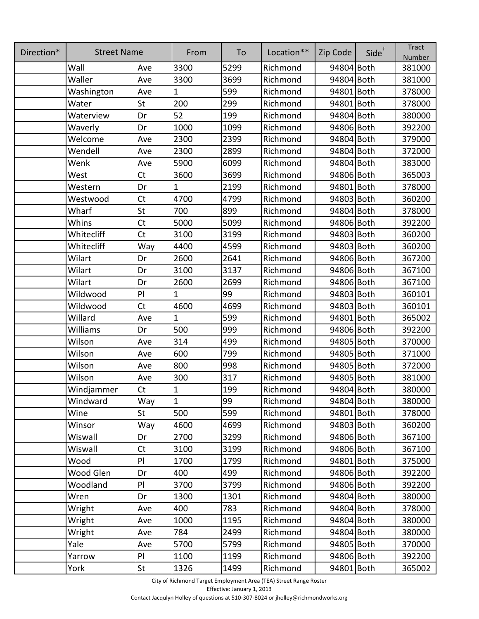| Direction* | <b>Street Name</b> |              | From           | To   | Location** | Zip Code   | $Side^{\dagger}$ | <b>Tract</b><br>Number |
|------------|--------------------|--------------|----------------|------|------------|------------|------------------|------------------------|
|            | Wall               | Ave          | 3300           | 5299 | Richmond   | 94804 Both |                  | 381000                 |
|            | Waller             | Ave          | 3300           | 3699 | Richmond   | 94804 Both |                  | 381000                 |
|            | Washington         | Ave          | 1              | 599  | Richmond   | 94801 Both |                  | 378000                 |
|            | Water              | St           | 200            | 299  | Richmond   | 94801 Both |                  | 378000                 |
|            | Waterview          | Dr           | 52             | 199  | Richmond   | 94804 Both |                  | 380000                 |
|            | Waverly            | Dr           | 1000           | 1099 | Richmond   | 94806 Both |                  | 392200                 |
|            | Welcome            | Ave          | 2300           | 2399 | Richmond   | 94804 Both |                  | 379000                 |
|            | Wendell            | Ave          | 2300           | 2899 | Richmond   | 94804 Both |                  | 372000                 |
|            | Wenk               | Ave          | 5900           | 6099 | Richmond   | 94804 Both |                  | 383000                 |
|            | West               | <b>Ct</b>    | 3600           | 3699 | Richmond   | 94806 Both |                  | 365003                 |
|            | Western            | Dr           | 1              | 2199 | Richmond   | 94801 Both |                  | 378000                 |
|            | Westwood           | <b>Ct</b>    | 4700           | 4799 | Richmond   | 94803 Both |                  | 360200                 |
|            | Wharf              | St           | 700            | 899  | Richmond   | 94804 Both |                  | 378000                 |
|            | Whins              | Ct           | 5000           | 5099 | Richmond   | 94806 Both |                  | 392200                 |
|            | Whitecliff         | Ct           | 3100           | 3199 | Richmond   | 94803 Both |                  | 360200                 |
|            | Whitecliff         | Way          | 4400           | 4599 | Richmond   | 94803 Both |                  | 360200                 |
|            | Wilart             | Dr           | 2600           | 2641 | Richmond   | 94806 Both |                  | 367200                 |
|            | Wilart             | Dr           | 3100           | 3137 | Richmond   | 94806 Both |                  | 367100                 |
|            | Wilart             | Dr           | 2600           | 2699 | Richmond   | 94806 Both |                  | 367100                 |
|            | Wildwood           | $\mathsf{P}$ | 1              | 99   | Richmond   | 94803 Both |                  | 360101                 |
|            | Wildwood           | Ct           | 4600           | 4699 | Richmond   | 94803 Both |                  | 360101                 |
|            | Willard            | Ave          | 1              | 599  | Richmond   | 94801 Both |                  | 365002                 |
|            | Williams           | Dr           | 500            | 999  | Richmond   | 94806 Both |                  | 392200                 |
|            | Wilson             | Ave          | 314            | 499  | Richmond   | 94805 Both |                  | 370000                 |
|            | Wilson             | Ave          | 600            | 799  | Richmond   | 94805 Both |                  | 371000                 |
|            | Wilson             | Ave          | 800            | 998  | Richmond   | 94805 Both |                  | 372000                 |
|            | Wilson             | Ave          | 300            | 317  | Richmond   | 94805 Both |                  | 381000                 |
|            | Windjammer         | <b>Ct</b>    | $\overline{1}$ | 199  | Richmond   | 94804 Both |                  | 380000                 |
|            | Windward           | Way          | $\overline{1}$ | 99   | Richmond   | 94804 Both |                  | 380000                 |
|            | Wine               | St           | 500            | 599  | Richmond   | 94801 Both |                  | 378000                 |
|            | Winsor             | Way          | 4600           | 4699 | Richmond   | 94803 Both |                  | 360200                 |
|            | Wiswall            | Dr           | 2700           | 3299 | Richmond   | 94806 Both |                  | 367100                 |
|            | Wiswall            | <b>Ct</b>    | 3100           | 3199 | Richmond   | 94806 Both |                  | 367100                 |
|            | Wood               | PI           | 1700           | 1799 | Richmond   | 94801 Both |                  | 375000                 |
|            | Wood Glen          | Dr           | 400            | 499  | Richmond   | 94806 Both |                  | 392200                 |
|            | Woodland           | PI           | 3700           | 3799 | Richmond   | 94806 Both |                  | 392200                 |
|            | Wren               | Dr           | 1300           | 1301 | Richmond   | 94804 Both |                  | 380000                 |
|            | Wright             | Ave          | 400            | 783  | Richmond   | 94804 Both |                  | 378000                 |
|            | Wright             | Ave          | 1000           | 1195 | Richmond   | 94804 Both |                  | 380000                 |
|            | Wright             | Ave          | 784            | 2499 | Richmond   | 94804 Both |                  | 380000                 |
|            | Yale               | Ave          | 5700           | 5799 | Richmond   | 94805 Both |                  | 370000                 |
|            | Yarrow             | PI           | 1100           | 1199 | Richmond   | 94806 Both |                  | 392200                 |
|            | York               | St           | 1326           | 1499 | Richmond   | 94801 Both |                  | 365002                 |